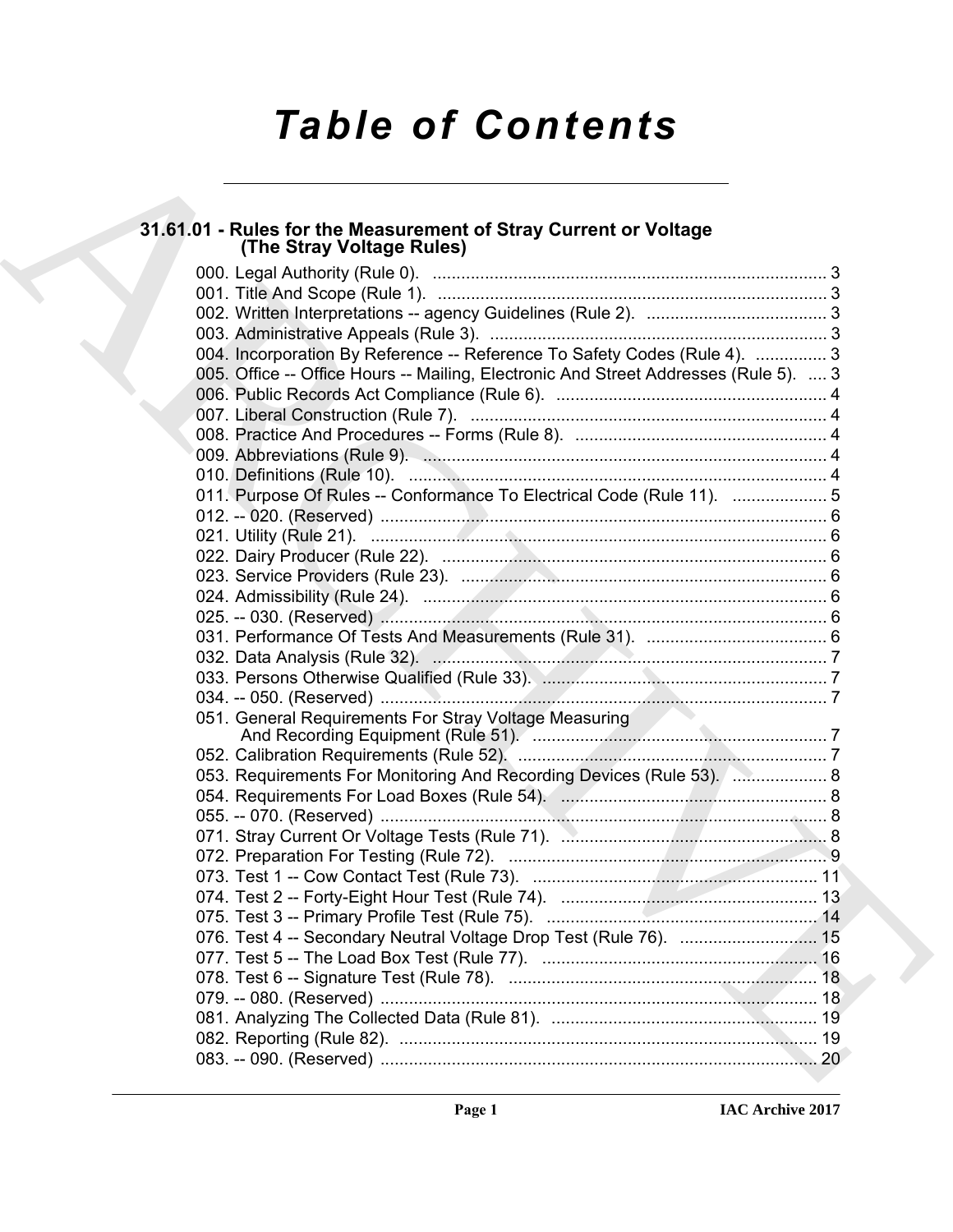# *Table of Contents*

# **31.61.01 - Rules for the Measurement of Stray Current or Voltage (The Stray Voltage Rules)**

| 31.61.01 - Rules for the Measurement of Stray Current or Voltage<br>(The Stray Voltage Rules) |
|-----------------------------------------------------------------------------------------------|
|                                                                                               |
|                                                                                               |
|                                                                                               |
|                                                                                               |
| 004. Incorporation By Reference -- Reference To Safety Codes (Rule 4).  3                     |
| 005. Office -- Office Hours -- Mailing, Electronic And Street Addresses (Rule 5).  3          |
|                                                                                               |
|                                                                                               |
|                                                                                               |
|                                                                                               |
|                                                                                               |
| 011. Purpose Of Rules -- Conformance To Electrical Code (Rule 11).  5                         |
|                                                                                               |
|                                                                                               |
|                                                                                               |
|                                                                                               |
|                                                                                               |
|                                                                                               |
|                                                                                               |
|                                                                                               |
|                                                                                               |
|                                                                                               |
| 051. General Requirements For Stray Voltage Measuring                                         |
|                                                                                               |
| 053. Requirements For Monitoring And Recording Devices (Rule 53). <b>2006.</b> 8              |
|                                                                                               |
|                                                                                               |
|                                                                                               |
|                                                                                               |
|                                                                                               |
|                                                                                               |
|                                                                                               |
| 076. Test 4 -- Secondary Neutral Voltage Drop Test (Rule 76).  15                             |
|                                                                                               |
|                                                                                               |
|                                                                                               |
|                                                                                               |
|                                                                                               |
|                                                                                               |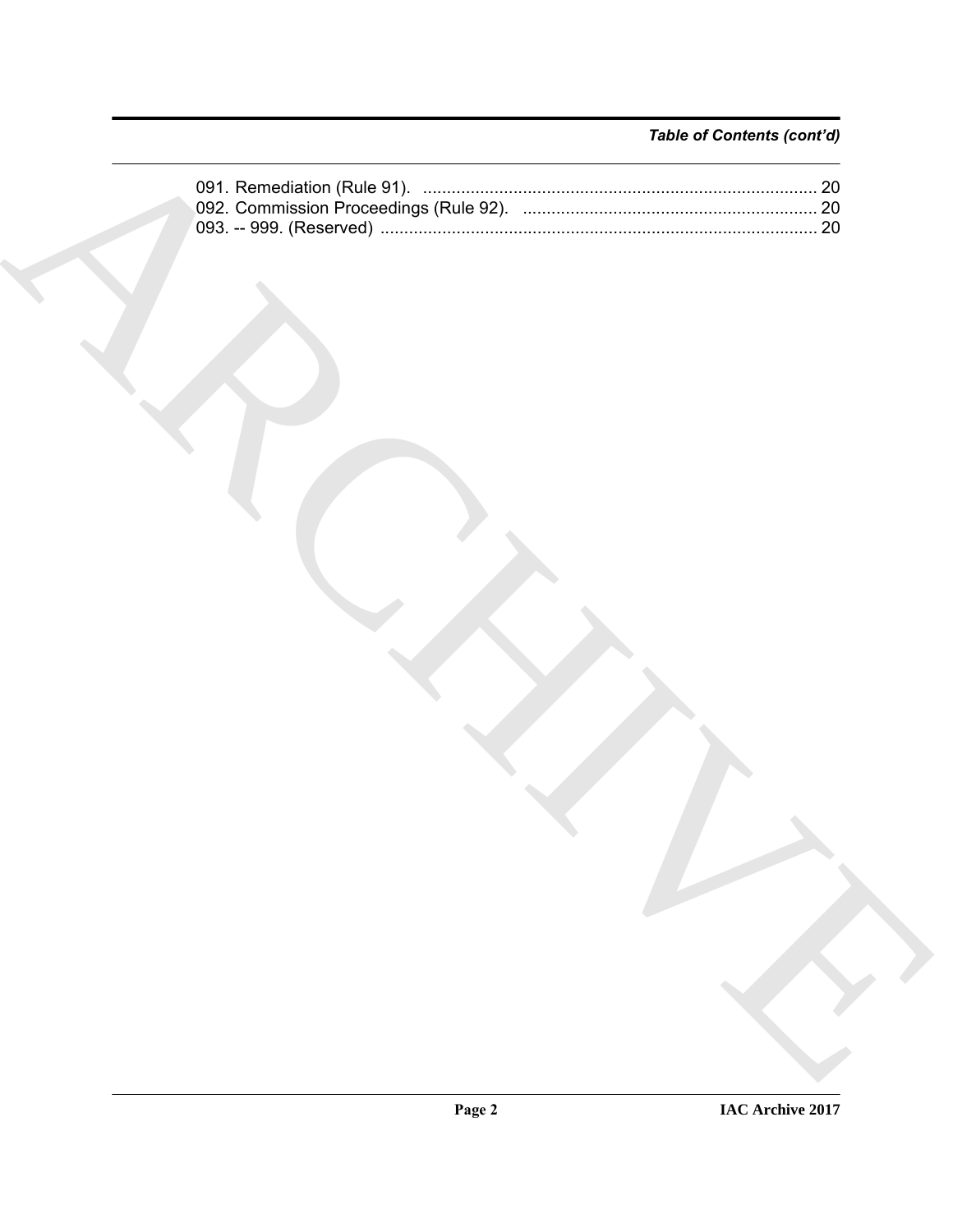#### *Table of Contents (cont'd)*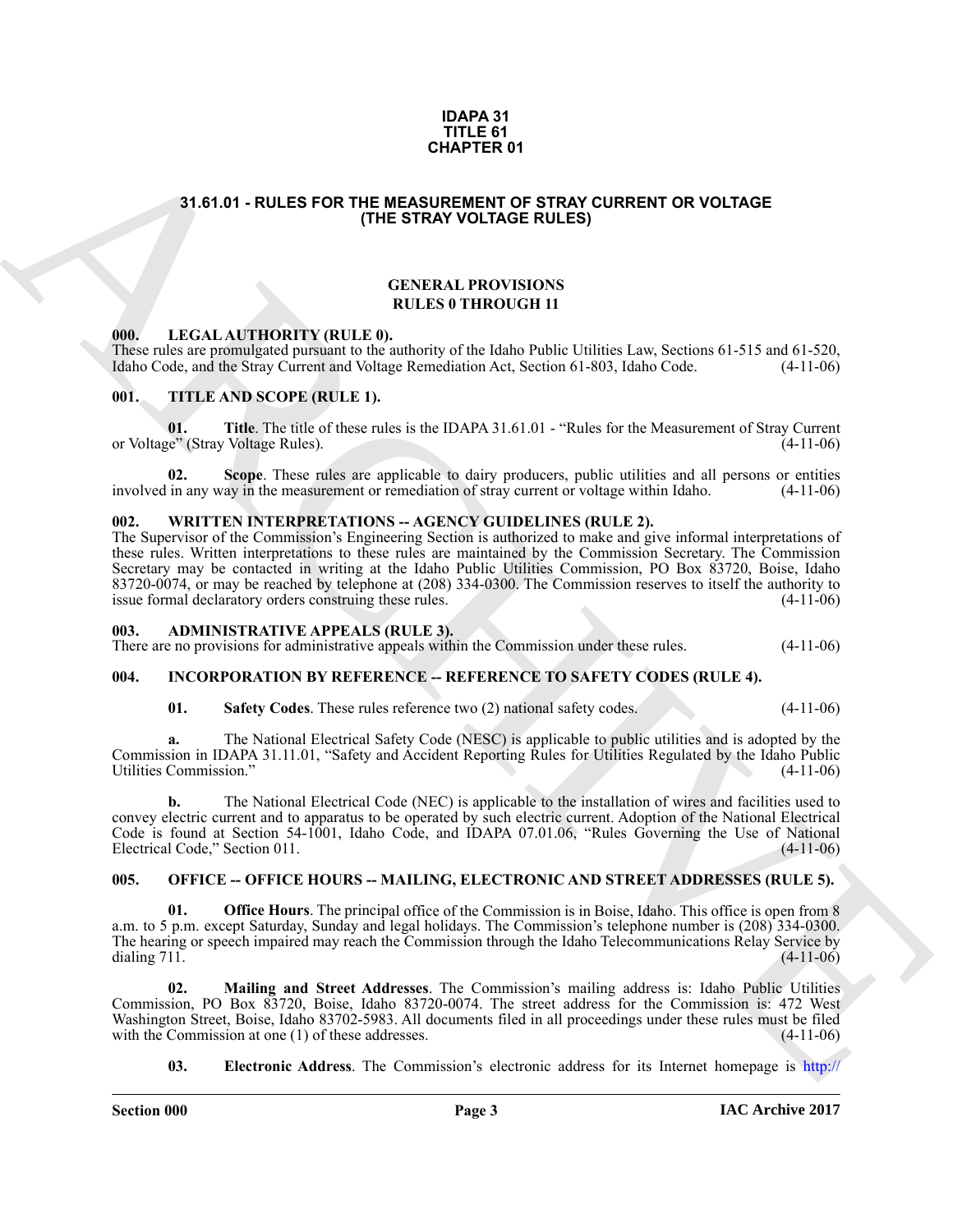#### **IDAPA 31 TITLE 61 CHAPTER 01**

#### <span id="page-2-0"></span>**31.61.01 - RULES FOR THE MEASUREMENT OF STRAY CURRENT OR VOLTAGE (THE STRAY VOLTAGE RULES)**

#### **GENERAL PROVISIONS RULES 0 THROUGH 11**

#### <span id="page-2-1"></span>**000. LEGAL AUTHORITY (RULE 0).**

These rules are promulgated pursuant to the authority of the Idaho Public Utilities Law, Sections 61-515 and 61-520, Idaho Code. (4-11-06) Idaho Code, and the Stray Current and Voltage Remediation Act, Section 61-803, Idaho Code.

#### <span id="page-2-2"></span>**001. TITLE AND SCOPE (RULE 1).**

**01.** Title. The title of these rules is the IDAPA 31.61.01 - "Rules for the Measurement of Stray Current in the Measurement of Stray Current (2016) or Voltage" (Stray Voltage Rules).

**02. Scope**. These rules are applicable to dairy producers, public utilities and all persons or entities involved in any way in the measurement or remediation of stray current or voltage within Idaho. (4-11-06)

#### <span id="page-2-3"></span>**002. WRITTEN INTERPRETATIONS -- AGENCY GUIDELINES (RULE 2).**

31.61.61 - RUL[E](http://www.puc.idaho.gov)S FOR THE MEASUREMENT OF STRAY OUTRIGES THAT OUTREST OR VOLTAGE<br>
THE STRAY VOLTAGE RULES (<br>
(THE STRAY VOLTAGE RULES)<br>
(EVALUATION TITULES)<br>
(EVALUATION TYPICAL ATTION TOWNS INTO A CHANNEL COMPARATION TO TH The Supervisor of the Commission's Engineering Section is authorized to make and give informal interpretations of these rules. Written interpretations to these rules are maintained by the Commission Secretary. The Commission Secretary may be contacted in writing at the Idaho Public Utilities Commission, PO Box 83720, Boise, Idaho 83720-0074, or may be reached by telephone at (208) 334-0300. The Commission reserves to itself the authority to issue formal declaratory orders construing these rules. (4-11-06) issue formal declaratory orders construing these rules.

#### <span id="page-2-4"></span>**003. ADMINISTRATIVE APPEALS (RULE 3).**

There are no provisions for administrative appeals within the Commission under these rules. (4-11-06)

#### <span id="page-2-5"></span>**004. INCORPORATION BY REFERENCE -- REFERENCE TO SAFETY CODES (RULE 4).**

#### **01. Safety Codes**. These rules reference two (2) national safety codes. (4-11-06)

**a.** The National Electrical Safety Code (NESC) is applicable to public utilities and is adopted by the Commission in IDAPA 31.11.01, "Safety and Accident Reporting Rules for Utilities Regulated by the Idaho Public Utilities Commission." (4-11-06)

**b.** The National Electrical Code (NEC) is applicable to the installation of wires and facilities used to convey electric current and to apparatus to be operated by such electric current. Adoption of the National Electrical Code is found at Section 54-1001, Idaho Code, and IDAPA 07.01.06, "Rules Governing the Use of National Electrical Code," Section 011. (4-11-06)

#### <span id="page-2-6"></span>**005. OFFICE -- OFFICE HOURS -- MAILING, ELECTRONIC AND STREET ADDRESSES (RULE 5).**

**Office Hours**. The principal office of the Commission is in Boise, Idaho. This office is open from 8 a.m. to 5 p.m. except Saturday, Sunday and legal holidays. The Commission's telephone number is (208) 334-0300. The hearing or speech impaired may reach the Commission through the Idaho Telecommunications Relay Service by dialing 711. (4-11-06) dialing 711. (4-11-06)

**02. Mailing and Street Addresses**. The Commission's mailing address is: Idaho Public Utilities Commission, PO Box 83720, Boise, Idaho 83720-0074. The street address for the Commission is: 472 West Washington Street, Boise, Idaho 83702-5983. All documents filed in all proceedings under these rules must be filed with the Commission at one (1) of these addresses. (4-11-06) with the Commission at one  $(1)$  of these addresses.

**03. Electronic Address**. The Commission's electronic address for its Internet homepage is http://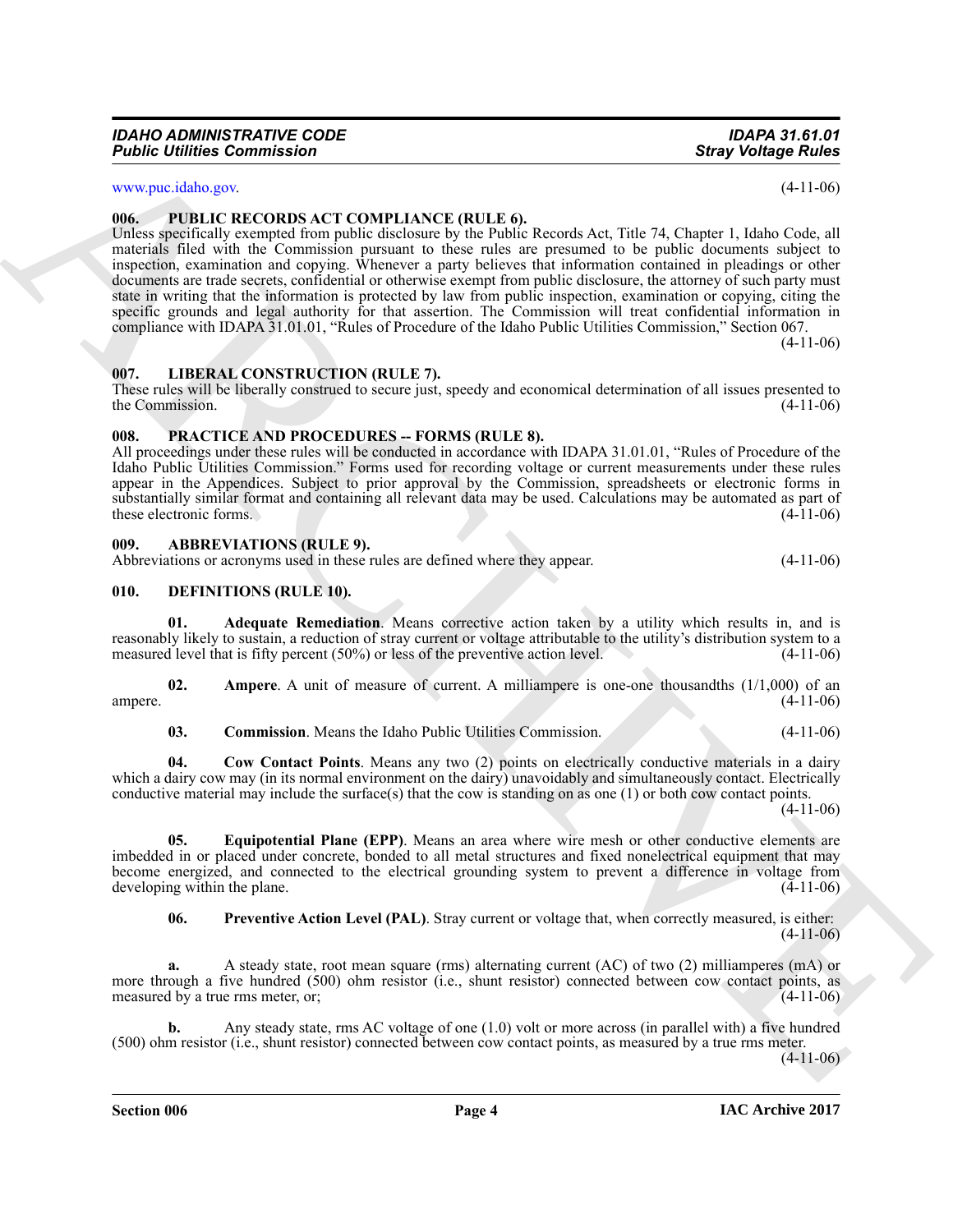www.puc.idaho.gov. (4-11-06)

#### <span id="page-3-0"></span>**006. PUBLIC RECORDS ACT COMPLIANCE (RULE 6).**

**Fourier Communistion 2**<br>
Stary bothings Tokies<br>
entrance and the Communistics of COMPRIMENT (FOLT) Col.<br>
entrance and the Communistics of the Communistics of the Communistics of the Communistics of the Communistics of th Unless specifically exempted from public disclosure by the Public Records Act, Title 74, Chapter 1, Idaho Code, all materials filed with the Commission pursuant to these rules are presumed to be public documents subject to inspection, examination and copying. Whenever a party believes that information contained in pleadings or other documents are trade secrets, confidential or otherwise exempt from public disclosure, the attorney of such party must state in writing that the information is protected by law from public inspection, examination or copying, citing the specific grounds and legal authority for that assertion. The Commission will treat confidential information in compliance with IDAPA 31.01.01, "Rules of Procedure of the Idaho Public Utilities Commission," Section 067.  $(4-11-06)$ 

<span id="page-3-1"></span>**007. LIBERAL CONSTRUCTION (RULE 7).**

These rules will be liberally construed to secure just, speedy and economical determination of all issues presented to the Commission. (4-11-06)

#### <span id="page-3-2"></span>**008. PRACTICE AND PROCEDURES -- FORMS (RULE 8).**

All proceedings under these rules will be conducted in accordance with IDAPA 31.01.01, "Rules of Procedure of the Idaho Public Utilities Commission." Forms used for recording voltage or current measurements under these rules appear in the Appendices. Subject to prior approval by the Commission, spreadsheets or electronic forms in substantially similar format and containing all relevant data may be used. Calculations may be automated as part of these electronic forms. these electronic forms.

#### <span id="page-3-3"></span>**009. ABBREVIATIONS (RULE 9).**

Abbreviations or acronyms used in these rules are defined where they appear. (4-11-06)

#### <span id="page-3-5"></span><span id="page-3-4"></span>**010. DEFINITIONS (RULE 10).**

<span id="page-3-6"></span>**01. Adequate Remediation**. Means corrective action taken by a utility which results in, and is reasonably likely to sustain, a reduction of stray current or voltage attributable to the utility's distribution system to a measured level that is fifty percent (50%) or less of the preventive action level. (4-11-06) measured level that is fifty percent  $(50\%)$  or less of the preventive action level.

**02.** Ampere. A unit of measure of current. A milliampere is one-one thousandths (1/1,000) of an ampere. (4-11-06)

<span id="page-3-9"></span><span id="page-3-8"></span><span id="page-3-7"></span>**03. Commission**. Means the Idaho Public Utilities Commission. (4-11-06)

**04. Cow Contact Points**. Means any two (2) points on electrically conductive materials in a dairy which a dairy cow may (in its normal environment on the dairy) unavoidably and simultaneously contact. Electrically conductive material may include the surface(s) that the cow is standing on as one  $(1)$  or both cow contact points.

 $(4-11-06)$ 

**05. Equipotential Plane (EPP)**. Means an area where wire mesh or other conductive elements are imbedded in or placed under concrete, bonded to all metal structures and fixed nonelectrical equipment that may become energized, and connected to the electrical grounding system to prevent a difference in voltage from developing within the plane.

<span id="page-3-11"></span><span id="page-3-10"></span>**06.** Preventive Action Level (PAL). Stray current or voltage that, when correctly measured, is either:  $(4-11-06)$ 

**a.** A steady state, root mean square (rms) alternating current (AC) of two (2) milliamperes (mA) or more through a five hundred (500) ohm resistor (i.e., shunt resistor) connected between cow contact points, as<br>measured by a true rms meter. or: (4-11-06) measured by a true rms meter, or;

**b.** Any steady state, rms AC voltage of one (1.0) volt or more across (in parallel with) a five hundred (500) ohm resistor (i.e., shunt resistor) connected between cow contact points, as measured by a true rms meter.

 $(4-11-06)$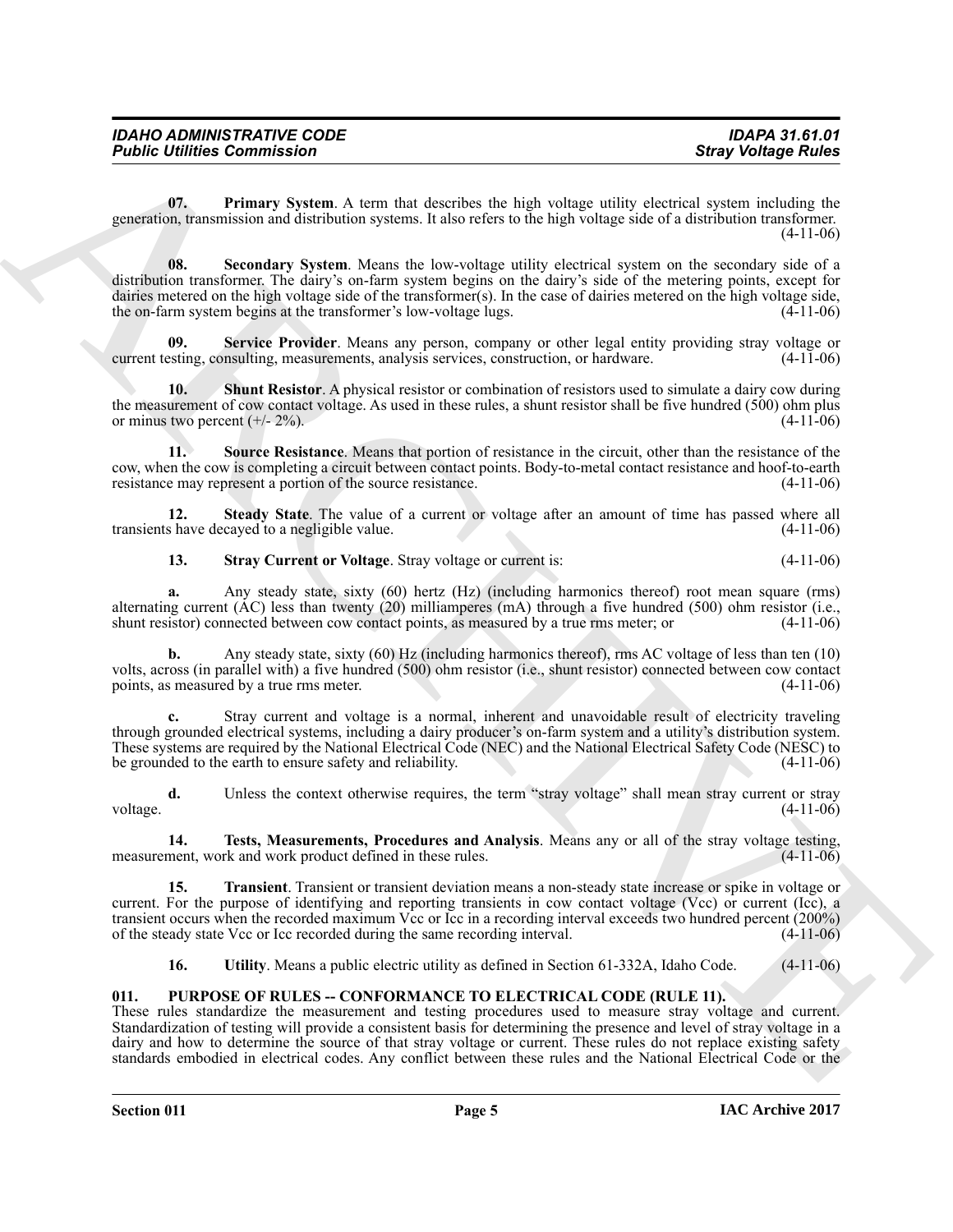<span id="page-4-2"></span><span id="page-4-1"></span>**07. Primary System**. A term that describes the high voltage utility electrical system including the generation, transmission and distribution systems. It also refers to the high voltage side of a distribution transformer. (4-11-06)

**Fosinc United Street Acts** (a) **Fosinc Street Acts** (a) **Street Works (a) Acts** (a) **Fourier Street Works (a) Control in the control in the control in the control in the control in the control in the control in the con 08. Secondary System**. Means the low-voltage utility electrical system on the secondary side of a distribution transformer. The dairy's on-farm system begins on the dairy's side of the metering points, except for dairies metered on the high voltage side of the transformer(s). In the case of dairies metered on the high voltage side, the on-farm system begins at the transformer's low-voltage lugs. (4-11-06) the on-farm system begins at the transformer's low-voltage lugs.

<span id="page-4-3"></span>**09.** Service Provider. Means any person, company or other legal entity providing stray voltage or esting, consulting, measurements, analysis services, construction, or hardware. (4-11-06) current testing, consulting, measurements, analysis services, construction, or hardware.

<span id="page-4-4"></span>**Shunt Resistor.** A physical resistor or combination of resistors used to simulate a dairy cow during the measurement of cow contact voltage. As used in these rules, a shunt resistor shall be five hundred (500) ohm plus or minus two percent  $(+/- 2\%)$ .  $(4-11-06)$ 

<span id="page-4-5"></span>**11. Source Resistance**. Means that portion of resistance in the circuit, other than the resistance of the cow, when the cow is completing a circuit between contact points. Body-to-metal contact resistance and hoof-to-earth resistance may represent a portion of the source resistance.

**12. Steady State**. The value of a current or voltage after an amount of time has passed where all shave decayed to a negligible value. transients have decayed to a negligible value.

<span id="page-4-7"></span><span id="page-4-6"></span>**13. Stray Current or Voltage**. Stray voltage or current is: (4-11-06)

**a.** Any steady state, sixty (60) hertz (Hz) (including harmonics thereof) root mean square (rms) alternating current (AC) less than twenty (20) milliamperes (mA) through a five hundred (500) ohm resistor (i.e., shunt resistor) connected between cow contact points, as measured by a true rms meter; or (4-11-06)

**b.** Any steady state, sixty (60) Hz (including harmonics thereof), rms AC voltage of less than ten (10) volts, across (in parallel with) a five hundred (500) ohm resistor (i.e., shunt resistor) connected between cow contact points, as measured by a true rms meter. (4-11-06)

**c.** Stray current and voltage is a normal, inherent and unavoidable result of electricity traveling through grounded electrical systems, including a dairy producer's on-farm system and a utility's distribution system. These systems are required by the National Electrical Code (NEC) and the National Electrical Safety Code (NESC) to be grounded to the earth to ensure safety and reliability.

**d.** Unless the context otherwise requires, the term "stray voltage" shall mean stray current or stray (4-11-06) voltage. (4-11-06)

<span id="page-4-8"></span>**14. Tests, Measurements, Procedures and Analysis**. Means any or all of the stray voltage testing, measurement, work and work product defined in these rules.

**15. Transient**. Transient or transient deviation means a non-steady state increase or spike in voltage or current. For the purpose of identifying and reporting transients in cow contact voltage (Vcc) or current (Icc), a transient occurs when the recorded maximum Vcc or Icc in a recording interval exceeds two hundred percent (200%) of the steady state Vcc or Icc recorded during the same recording interval. (4-11-06)

<span id="page-4-11"></span><span id="page-4-10"></span><span id="page-4-9"></span>**16. Utility**. Means a public electric utility as defined in Section 61-332A, Idaho Code. (4-11-06)

#### <span id="page-4-0"></span>**011. PURPOSE OF RULES -- CONFORMANCE TO ELECTRICAL CODE (RULE 11).**

These rules standardize the measurement and testing procedures used to measure stray voltage and current. Standardization of testing will provide a consistent basis for determining the presence and level of stray voltage in a dairy and how to determine the source of that stray voltage or current. These rules do not replace existing safety standards embodied in electrical codes. Any conflict between these rules and the National Electrical Code or the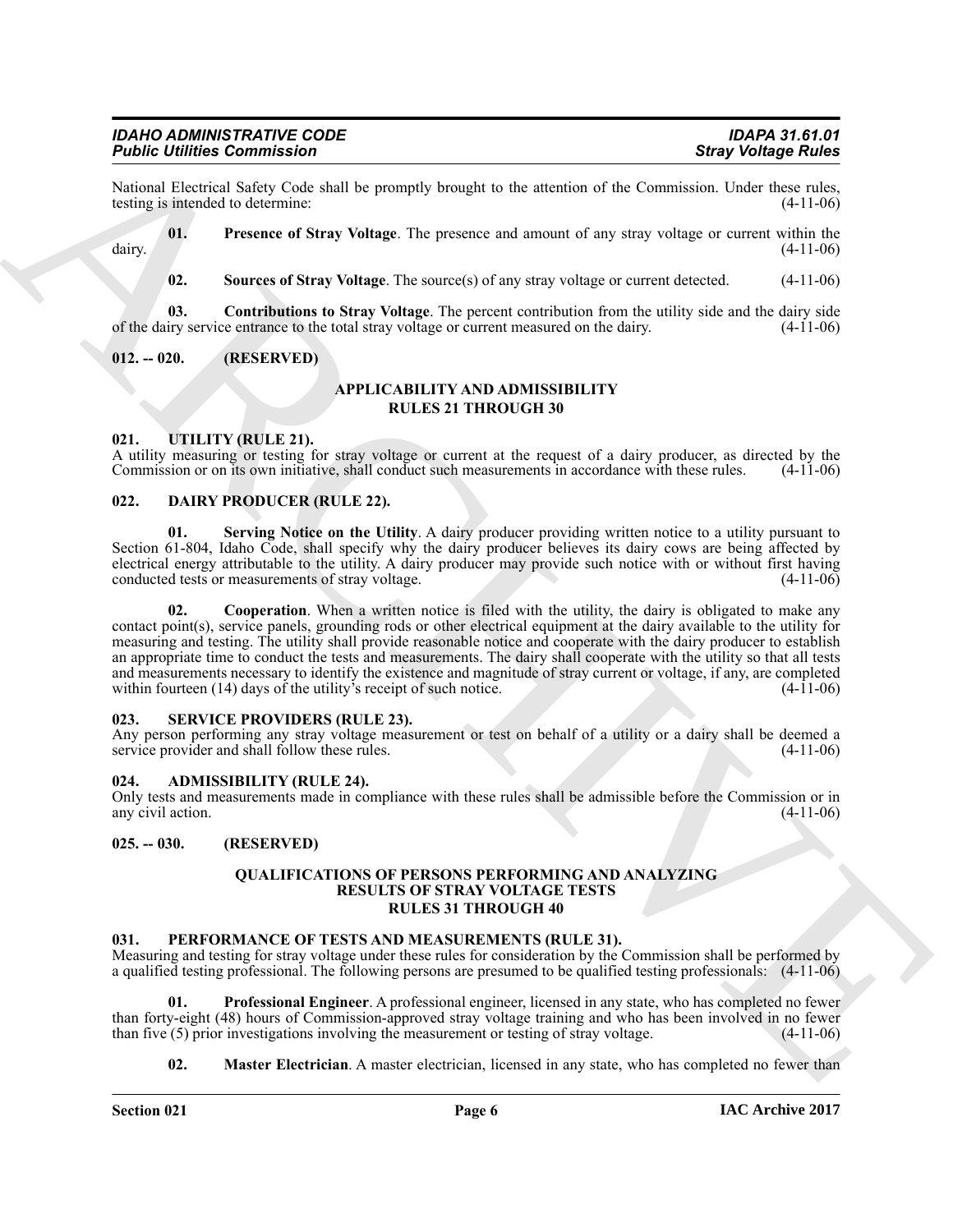National Electrical Safety Code shall be promptly brought to the attention of the Commission. Under these rules, testing is intended to determine: (4-11-06) testing is intended to determine:

**01. Presence of Stray Voltage**. The presence and amount of any stray voltage or current within the dairy. (4-11-06)

<span id="page-5-16"></span><span id="page-5-15"></span><span id="page-5-14"></span>**02.** Sources of Stray Voltage. The source(s) of any stray voltage or current detected.  $(4-11-06)$ 

**03. Contributions to Stray Voltage**. The percent contribution from the utility side and the dairy side of the dairy service entrance to the total stray voltage or current measured on the dairy. (4-11-06)

#### <span id="page-5-0"></span>**012. -- 020. (RESERVED)**

#### **APPLICABILITY AND ADMISSIBILITY RULES 21 THROUGH 30**

#### <span id="page-5-18"></span><span id="page-5-1"></span>**021. UTILITY (RULE 21).**

A utility measuring or testing for stray voltage or current at the request of a dairy producer, as directed by the Commission or on its own initiative, shall conduct such measurements in accordance with these rules. (4-11-Commission or on its own initiative, shall conduct such measurements in accordance with these rules.

#### <span id="page-5-8"></span><span id="page-5-2"></span>**022. DAIRY PRODUCER (RULE 22).**

<span id="page-5-10"></span><span id="page-5-9"></span>**01. Serving Notice on the Utility**. A dairy producer providing written notice to a utility pursuant to Section 61-804, Idaho Code, shall specify why the dairy producer believes its dairy cows are being affected by electrical energy attributable to the utility. A dairy producer may provide such notice with or without first having<br>conducted tests or measurements of stray voltage. (4-11-06) conducted tests or measurements of stray voltage.

**Form is the commission of the set of the set of the set of the set of the commission of the Commission of the Commission of the Commission of the Commission of the Commission of the Commission of the Commission of the Co 02.** Cooperation. When a written notice is filed with the utility, the dairy is obligated to make any contact point(s), service panels, grounding rods or other electrical equipment at the dairy available to the utility for measuring and testing. The utility shall provide reasonable notice and cooperate with the dairy producer to establish an appropriate time to conduct the tests and measurements. The dairy shall cooperate with the utility so that all tests and measurements necessary to identify the existence and magnitude of stray current or voltage, if any, are completed within fourteen (14) days of the utility's receipt of such notice. (4-11-06) within fourteen  $(14)$  days of the utility's receipt of such notice.

#### <span id="page-5-17"></span><span id="page-5-3"></span>**023. SERVICE PROVIDERS (RULE 23).**

Any person performing any stray voltage measurement or test on behalf of a utility or a dairy shall be deemed a service provider and shall follow these rules. (4-11-06) service provider and shall follow these rules.

#### <span id="page-5-7"></span><span id="page-5-4"></span>**024. ADMISSIBILITY (RULE 24).**

Only tests and measurements made in compliance with these rules shall be admissible before the Commission or in any civil action.

#### <span id="page-5-5"></span>**025. -- 030. (RESERVED)**

#### **QUALIFICATIONS OF PERSONS PERFORMING AND ANALYZING RESULTS OF STRAY VOLTAGE TESTS RULES 31 THROUGH 40**

#### <span id="page-5-11"></span><span id="page-5-6"></span>**031. PERFORMANCE OF TESTS AND MEASUREMENTS (RULE 31).**

Measuring and testing for stray voltage under these rules for consideration by the Commission shall be performed by a qualified testing professional. The following persons are presumed to be qualified testing professionals: (4-11-06)

**01. Professional Engineer**. A professional engineer, licensed in any state, who has completed no fewer than forty-eight (48) hours of Commission-approved stray voltage training and who has been involved in no fewer<br>than five (5) prior investigations involving the measurement or testing of stray voltage (4-11-06) than five  $(5)$  prior investigations involving the measurement or testing of stray voltage.

<span id="page-5-13"></span><span id="page-5-12"></span>**02. Master Electrician**. A master electrician, licensed in any state, who has completed no fewer than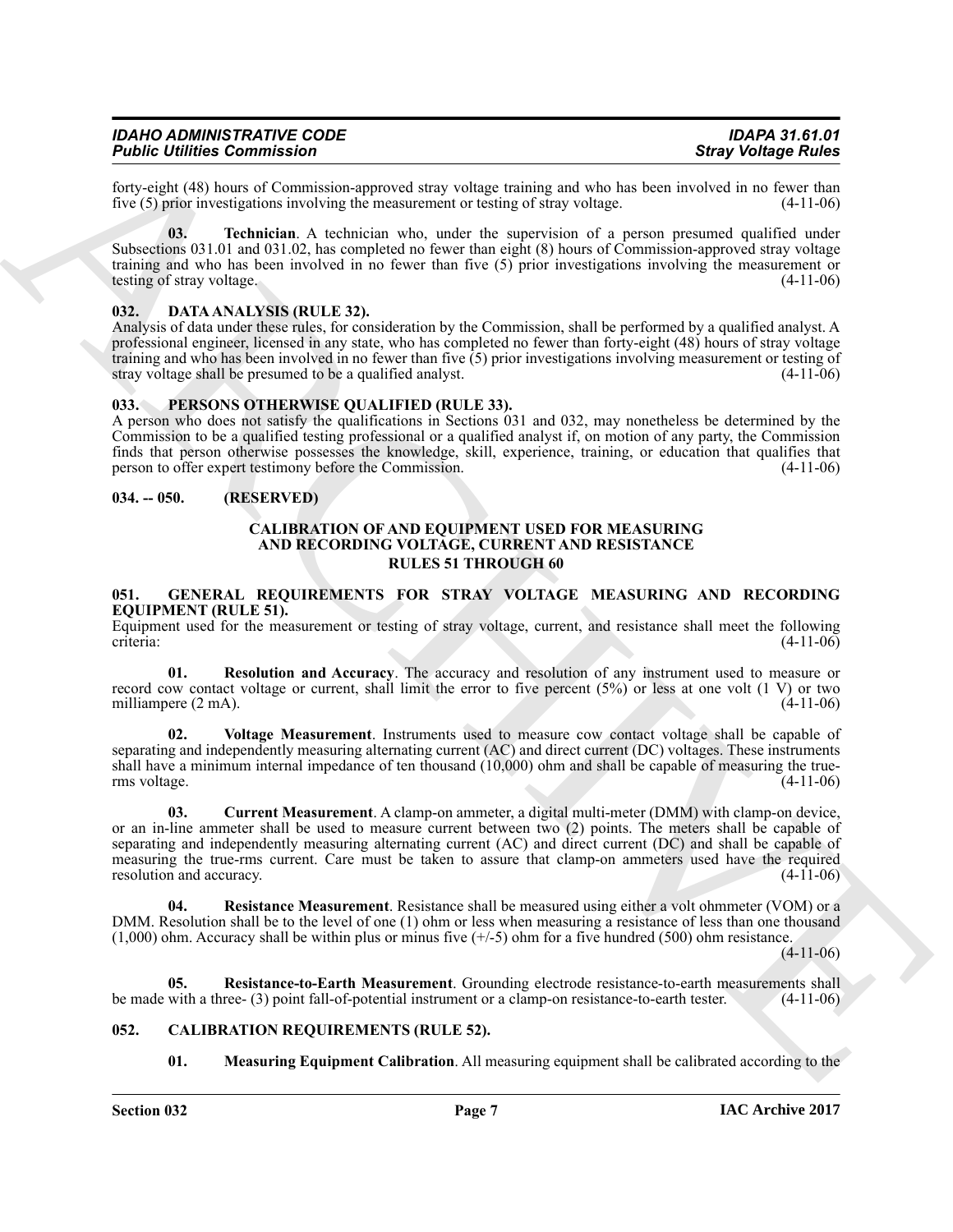| IDAHO ADMINISTRATIVE CODE          | <b>IDAPA 31.61.01</b>      |
|------------------------------------|----------------------------|
| <b>Public Utilities Commission</b> | <b>Stray Voltage Rules</b> |

forty-eight (48) hours of Commission-approved stray voltage training and who has been involved in no fewer than five  $(5)$  prior investigations involving the measurement or testing of stray voltage.

<span id="page-6-15"></span>**03. Technician**. A technician who, under the supervision of a person presumed qualified under Subsections 031.01 and 031.02, has completed no fewer than eight (8) hours of Commission-approved stray voltage training and who has been involved in no fewer than five  $(5)$  prior investigations involving the measurement or testing of stray voltage.  $(4-11-06)$ testing of stray voltage.

#### <span id="page-6-8"></span><span id="page-6-0"></span>**032. DATA ANALYSIS (RULE 32).**

Analysis of data under these rules, for consideration by the Commission, shall be performed by a qualified analyst. A professional engineer, licensed in any state, who has completed no fewer than forty-eight (48) hours of stray voltage training and who has been involved in no fewer than five  $(5)$  prior investigations involving measurement or testing of stray voltage shall be presumed to be a qualified analyst. (4-11-06) stray voltage shall be presumed to be a qualified analyst.

#### <span id="page-6-16"></span><span id="page-6-1"></span>**033. PERSONS OTHERWISE QUALIFIED (RULE 33).**

A person who does not satisfy the qualifications in Sections 031 and 032, may nonetheless be determined by the Commission to be a qualified testing professional or a qualified analyst if, on motion of any party, the Commission finds that person otherwise possesses the knowledge, skill, experience, training, or education that qualifies that person to offer expert testimony before the Commission. (4-11-06)

#### <span id="page-6-2"></span>**034. -- 050. (RESERVED)**

#### <span id="page-6-5"></span>**CALIBRATION OF AND EQUIPMENT USED FOR MEASURING AND RECORDING VOLTAGE, CURRENT AND RESISTANCE RULES 51 THROUGH 60**

#### <span id="page-6-9"></span><span id="page-6-3"></span>**051. GENERAL REQUIREMENTS FOR STRAY VOLTAGE MEASURING AND RECORDING EQUIPMENT (RULE 51).**

Equipment used for the measurement or testing of stray voltage, current, and resistance shall meet the following criteria:<br>(4-11-06) criteria: (4-11-06)

<span id="page-6-13"></span>**01. Resolution and Accuracy**. The accuracy and resolution of any instrument used to measure or record cow contact voltage or current, shall limit the error to five percent  $(5%)$  or less at one volt (1 V) or two milliampere (2 mA). milliampere  $(2 \text{ mA})$ .

<span id="page-6-14"></span><span id="page-6-10"></span>**02. Voltage Measurement**. Instruments used to measure cow contact voltage shall be capable of separating and independently measuring alternating current (AC) and direct current (DC) voltages. These instruments shall have a minimum internal impedance of ten thousand (10,000) ohm and shall be capable of measuring the true-<br>(4-11-06) rms voltage.

For contribution Commuters of the contribution of the state of the state of the state of the state of the state of the state of the state of the state of the state of the state of the state of the state of the state of th **03. Current Measurement**. A clamp-on ammeter, a digital multi-meter (DMM) with clamp-on device, or an in-line ammeter shall be used to measure current between two (2) points. The meters shall be capable of separating and independently measuring alternating current (AC) and direct current (DC) and shall be capable of measuring the true-rms current. Care must be taken to assure that clamp-on ammeters used have the required resolution and accuracy. (4-11-06) resolution and accuracy.

<span id="page-6-11"></span>**04. Resistance Measurement**. Resistance shall be measured using either a volt ohmmeter (VOM) or a DMM. Resolution shall be to the level of one (1) ohm or less when measuring a resistance of less than one thousand  $(1,000)$  ohm. Accuracy shall be within plus or minus five  $(+/-5)$  ohm for a five hundred (500) ohm resistance.

 $(4-11-06)$ 

**05.** Resistance-to-Earth Measurement. Grounding electrode resistance-to-earth measurements shall with a three-(3) point fall-of-potential instrument or a clamp-on resistance-to-earth tester. (4-11-06) be made with a three- (3) point fall-of-potential instrument or a clamp-on resistance-to-earth tester.

#### <span id="page-6-4"></span>**052. CALIBRATION REQUIREMENTS (RULE 52).**

<span id="page-6-12"></span><span id="page-6-7"></span><span id="page-6-6"></span>**01. Measuring Equipment Calibration**. All measuring equipment shall be calibrated according to the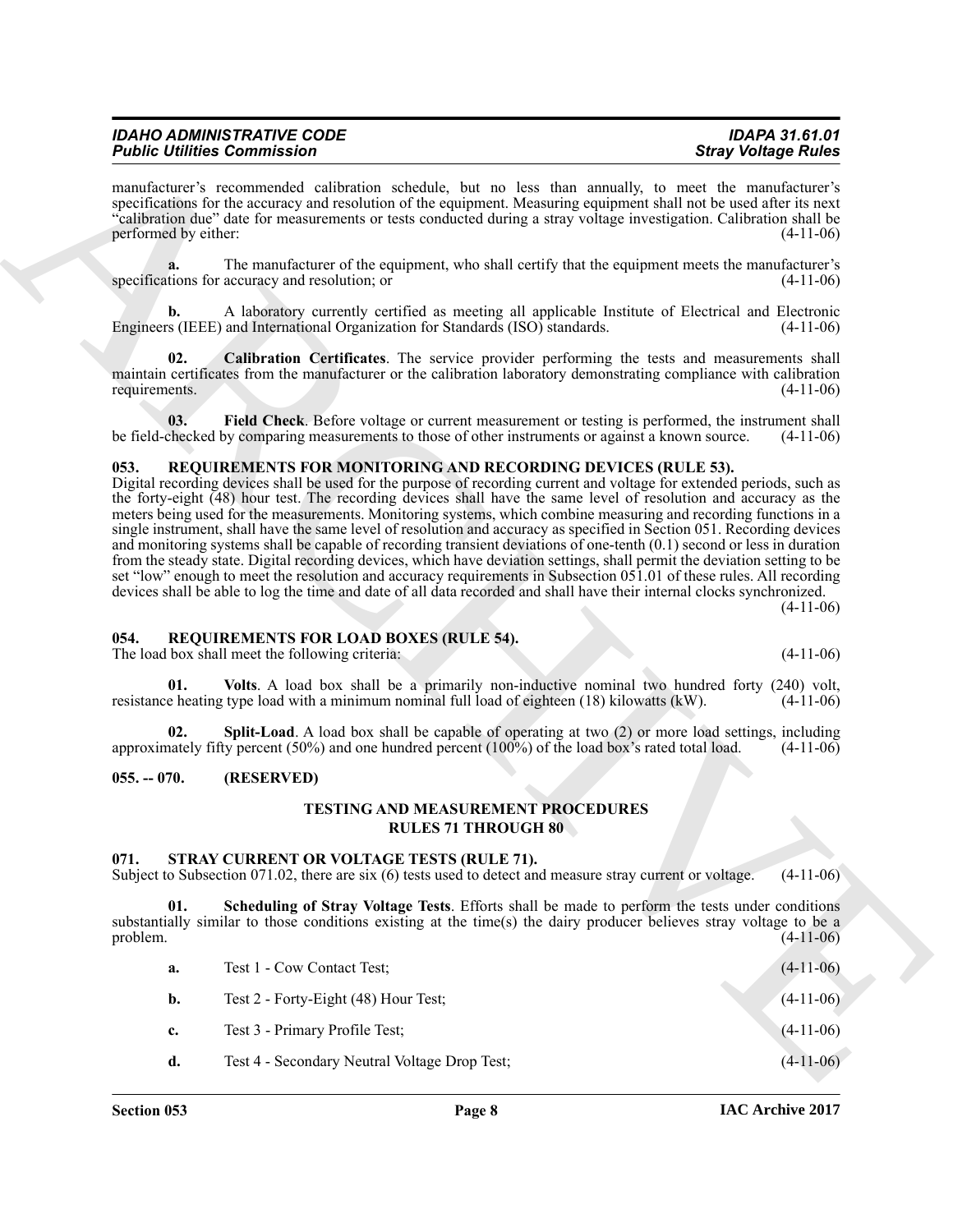| <b>IDAHO ADMINISTRATIVE CODE</b>   | <b>IDAPA 31.61.01</b>      |
|------------------------------------|----------------------------|
| <b>Public Utilities Commission</b> | <b>Stray Voltage Rules</b> |

manufacturer's recommended calibration schedule, but no less than annually, to meet the manufacturer's specifications for the accuracy and resolution of the equipment. Measuring equipment shall not be used after its next "calibration due" date for measurements or tests conducted during a stray voltage investigation. Calibration shall be performed by either: (4-11-06)

**a.** The manufacturer of the equipment, who shall certify that the equipment meets the manufacturer's tions for accuracy and resolution; or  $(4-11-06)$ specifications for accuracy and resolution; or

**b.** A laboratory currently certified as meeting all applicable Institute of Electrical and Electronic Engineers (IEEE) and International Organization for Standards (ISO) standards. (4-11-06)

<span id="page-7-4"></span>**02. Calibration Certificates**. The service provider performing the tests and measurements shall maintain certificates from the manufacturer or the calibration laboratory demonstrating compliance with calibration requirements. (4-11-06) requirements. (4-11-06)

<span id="page-7-5"></span>**03.** Field Check. Before voltage or current measurement or testing is performed, the instrument shall checked by comparing measurements to those of other instruments or against a known source. (4-11-06) be field-checked by comparing measurements to those of other instruments or against a known source.

#### <span id="page-7-9"></span><span id="page-7-0"></span>**053. REQUIREMENTS FOR MONITORING AND RECORDING DEVICES (RULE 53).**

For the interaction of the second state of the second state and the second state of the second state of the second state and state and state of the second state of the second state of the second state of the second state Digital recording devices shall be used for the purpose of recording current and voltage for extended periods, such as the forty-eight (48) hour test. The recording devices shall have the same level of resolution and accuracy as the meters being used for the measurements. Monitoring systems, which combine measuring and recording functions in a single instrument, shall have the same level of resolution and accuracy as specified in Section 051. Recording devices and monitoring systems shall be capable of recording transient deviations of one-tenth (0.1) second or less in duration from the steady state. Digital recording devices, which have deviation settings, shall permit the deviation setting to be set "low" enough to meet the resolution and accuracy requirements in Subsection 051.01 of these rules. All recording devices shall be able to log the time and date of all data recorded and shall have their internal clocks synchronized. (4-11-06)

#### <span id="page-7-6"></span><span id="page-7-1"></span>**054. REQUIREMENTS FOR LOAD BOXES (RULE 54).**

The load box shall meet the following criteria: (4-11-06)

<span id="page-7-8"></span>**01. Volts**. A load box shall be a primarily non-inductive nominal two hundred forty (240) volt, resistance heating type load with a minimum nominal full load of eighteen (18) kilowatts (kW). (4-11-06)

<span id="page-7-7"></span>**02. Split-Load**. A load box shall be capable of operating at two (2) or more load settings, including hately fifty percent (50%) and one hundred percent (100%) of the load box's rated total load. (4-11-06) approximately fifty percent  $(50\%)$  and one hundred percent  $(100\%)$  of the load box's rated total load.

#### <span id="page-7-2"></span>**055. -- 070. (RESERVED)**

#### <span id="page-7-12"></span>**TESTING AND MEASUREMENT PROCEDURES RULES 71 THROUGH 80**

#### <span id="page-7-10"></span><span id="page-7-3"></span>**071. STRAY CURRENT OR VOLTAGE TESTS (RULE 71).**

Subject to Subsection 071.02, there are six (6) tests used to detect and measure stray current or voltage. (4-11-06)

**01. Scheduling of Stray Voltage Tests**. Efforts shall be made to perform the tests under conditions substantially similar to those conditions existing at the time(s) the dairy producer believes stray voltage to be a problem. (4-11-06) problem.  $(4-11-06)$ 

<span id="page-7-11"></span>

| а. | Test 1 - Cow Contact Test;                    | $(4-11-06)$ |
|----|-----------------------------------------------|-------------|
| b. | Test 2 - Forty-Eight (48) Hour Test;          | $(4-11-06)$ |
| c. | Test 3 - Primary Profile Test;                | $(4-11-06)$ |
| d. | Test 4 - Secondary Neutral Voltage Drop Test; | $(4-11-06)$ |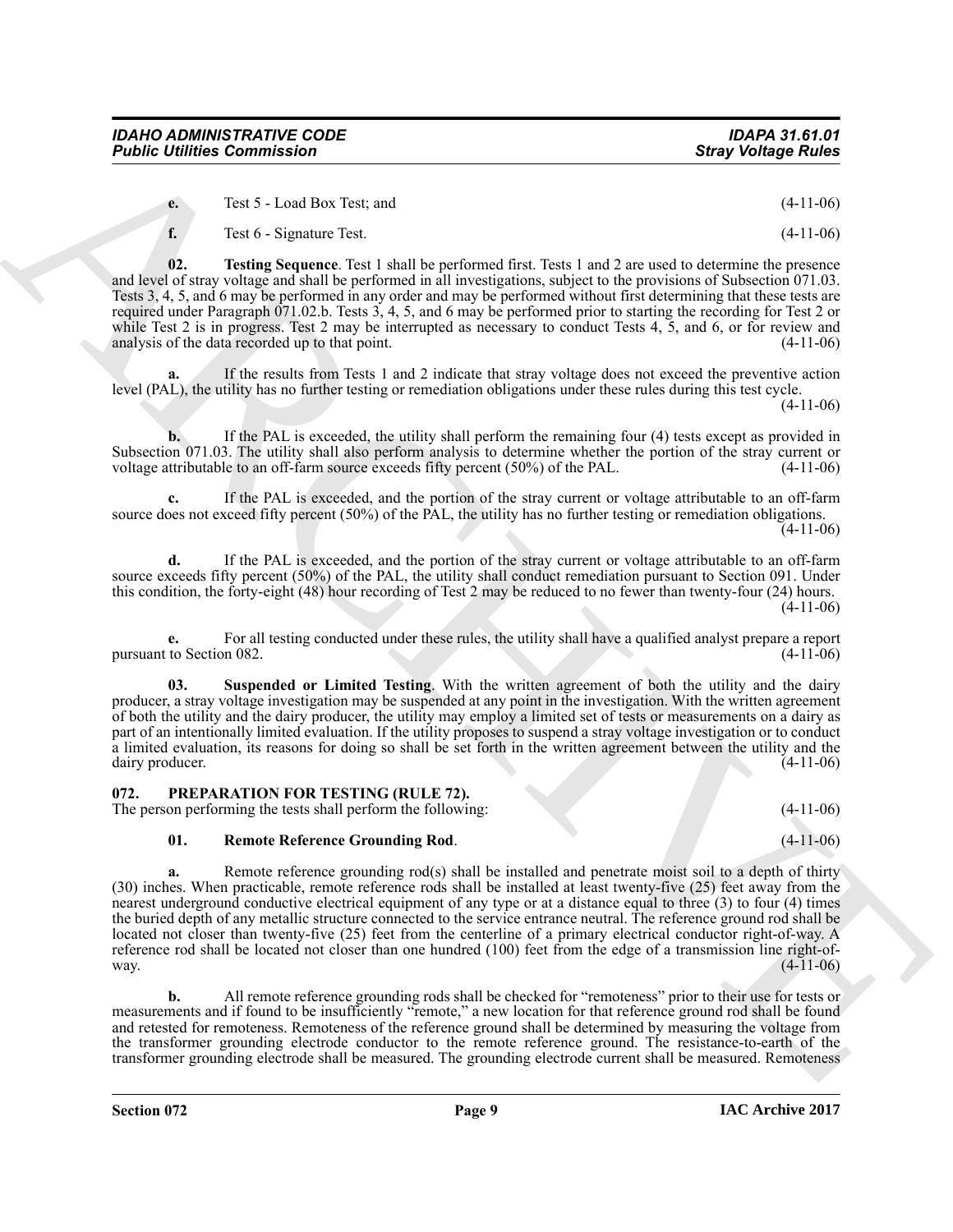*Public Utilities Commission* 

**02. Testing Sequence**. Test 1 shall be performed first. Tests 1 and 2 are used to determine the presence and level of stray voltage and shall be performed in all investigations, subject to the provisions of Subsection 071.03. Tests 3, 4, 5, and 6 may be performed in any order and may be performed without first determining that these tests are required under Paragraph 071.02.b. Tests 3, 4, 5, and 6 may be performed prior to starting the recording for Test 2 or while Test 2 is in progress. Test 2 may be interrupted as necessary to conduct Tests 4, 5, and 6, or for review and analysis of the data recorded up to that point. (4-11-06)

**a.** If the results from Tests 1 and 2 indicate that stray voltage does not exceed the preventive action level (PAL), the utility has no further testing or remediation obligations under these rules during this test cycle.

**b.** If the PAL is exceeded, the utility shall perform the remaining four (4) tests except as provided in Subsection 071.03. The utility shall also perform analysis to determine whether the portion of the stray current or voltage attributable to an off-farm source exceeds fifty percent (50%) of the PAL. (4-11-06)

**c.** If the PAL is exceeded, and the portion of the stray current or voltage attributable to an off-farm source does not exceed fifty percent (50%) of the PAL, the utility has no further testing or remediation obligations.  $(4-11-06)$ 

**d.** If the PAL is exceeded, and the portion of the stray current or voltage attributable to an off-farm source exceeds fifty percent (50%) of the PAL, the utility shall conduct remediation pursuant to Section 091. Under this condition, the forty-eight (48) hour recording of Test 2 may be reduced to no fewer than twenty-four (24) hours.  $(4-11-06)$ 

**e.** For all testing conducted under these rules, the utility shall have a qualified analyst prepare a report to Section 082. (4-11-06) pursuant to Section 082.

<span id="page-8-3"></span>**03. Suspended or Limited Testing**. With the written agreement of both the utility and the dairy producer, a stray voltage investigation may be suspended at any point in the investigation. With the written agreement of both the utility and the dairy producer, the utility may employ a limited set of tests or measurements on a dairy as part of an intentionally limited evaluation. If the utility proposes to suspend a stray voltage investigation or to conduct a limited evaluation, its reasons for doing so shall be set forth in the written agreement between the utility and the dairy producer. (4-11-06) dairy producer.

### <span id="page-8-1"></span><span id="page-8-0"></span>**072. PREPARATION FOR TESTING (RULE 72).**

The person performing the tests shall perform the following: (4-11-06)

#### <span id="page-8-2"></span>**01. Remote Reference Grounding Rod**. (4-11-06)

**Foshie Uniters Commission**<br>
to the State Uniters (see the state with the state of the state of the state of the state of the state of the state of the state of the state of the state of the state of the state of the stat **a.** Remote reference grounding rod(s) shall be installed and penetrate moist soil to a depth of thirty (30) inches. When practicable, remote reference rods shall be installed at least twenty-five (25) feet away from the nearest underground conductive electrical equipment of any type or at a distance equal to three (3) to four (4) times the buried depth of any metallic structure connected to the service entrance neutral. The reference ground rod shall be located not closer than twenty-five (25) feet from the centerline of a primary electrical conductor right-of-way. A reference rod shall be located not closer than one hundred (100) feet from the edge of a transmission line right-of-<br>(4-11-06) way.  $(4-11-06)$ 

**b.** All remote reference grounding rods shall be checked for "remoteness" prior to their use for tests or measurements and if found to be insufficiently "remote," a new location for that reference ground rod shall be found and retested for remoteness. Remoteness of the reference ground shall be determined by measuring the voltage from the transformer grounding electrode conductor to the remote reference ground. The resistance-to-earth of the transformer grounding electrode shall be measured. The grounding electrode current shall be measured. Remoteness

**IAC Archive 2017**

### <span id="page-8-4"></span>**f.** Test 6 - Signature Test. (4-11-06)

**e.** Test 5 - Load Box Test; and (4-11-06)

 $(4-11-06)$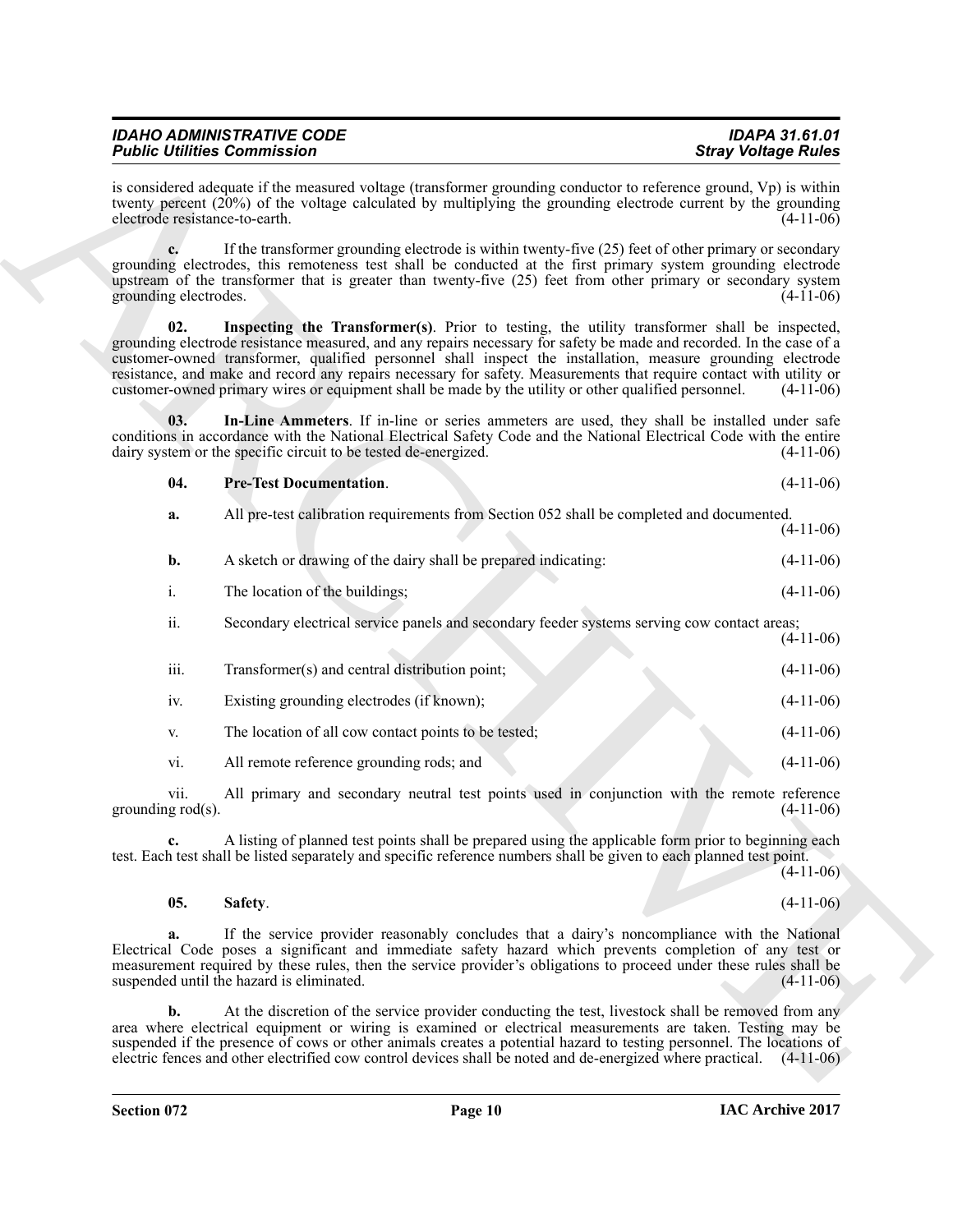| <b>IDAHO ADMINISTRATIVE CODE</b>   | <b>IDAPA 31.61.01</b>      |
|------------------------------------|----------------------------|
| <b>Public Utilities Commission</b> | <b>Stray Voltage Rules</b> |

<span id="page-9-2"></span><span id="page-9-1"></span><span id="page-9-0"></span>

| <b>Pre-Test Documentation.</b>                                                                           | $(4-11-06)$ |
|----------------------------------------------------------------------------------------------------------|-------------|
| All additional collaboration as surface conta Casar Collation OCO shall be a consulated and decomposited |             |

| <b>Public Utilities Commission</b> |                                                                                                                                                                                                                                                                                                                                                                                                                                                                                                                                                                    | <b>Stray Voltage Rules</b> |
|------------------------------------|--------------------------------------------------------------------------------------------------------------------------------------------------------------------------------------------------------------------------------------------------------------------------------------------------------------------------------------------------------------------------------------------------------------------------------------------------------------------------------------------------------------------------------------------------------------------|----------------------------|
| electrode resistance-to-earth.     | is considered adequate if the measured voltage (transformer grounding conductor to reference ground, Vp) is within<br>twenty percent (20%) of the voltage calculated by multiplying the grounding electrode current by the grounding                                                                                                                                                                                                                                                                                                                               | $(4-11-06)$                |
| grounding electrodes.              | If the transformer grounding electrode is within twenty-five (25) feet of other primary or secondary<br>grounding electrodes, this remoteness test shall be conducted at the first primary system grounding electrode<br>upstream of the transformer that is greater than twenty-five (25) feet from other primary or secondary system                                                                                                                                                                                                                             | $(4-11-06)$                |
| 02.                                | Inspecting the Transformer(s). Prior to testing, the utility transformer shall be inspected,<br>grounding electrode resistance measured, and any repairs necessary for safety be made and recorded. In the case of a<br>customer-owned transformer, qualified personnel shall inspect the installation, measure grounding electrode<br>resistance, and make and record any repairs necessary for safety. Measurements that require contact with utility or<br>customer-owned primary wires or equipment shall be made by the utility or other qualified personnel. | $(4-11-06)$                |
| 03.                                | In-Line Ammeters. If in-line or series ammeters are used, they shall be installed under safe<br>conditions in accordance with the National Electrical Safety Code and the National Electrical Code with the entire<br>dairy system or the specific circuit to be tested de-energized.                                                                                                                                                                                                                                                                              | $(4-11-06)$                |
| 04.                                | <b>Pre-Test Documentation.</b>                                                                                                                                                                                                                                                                                                                                                                                                                                                                                                                                     | $(4-11-06)$                |
| a.                                 | All pre-test calibration requirements from Section 052 shall be completed and documented.                                                                                                                                                                                                                                                                                                                                                                                                                                                                          | $(4-11-06)$                |
| b.                                 | A sketch or drawing of the dairy shall be prepared indicating:                                                                                                                                                                                                                                                                                                                                                                                                                                                                                                     | $(4-11-06)$                |
| i.                                 | The location of the buildings;                                                                                                                                                                                                                                                                                                                                                                                                                                                                                                                                     | $(4-11-06)$                |
| ii.                                | Secondary electrical service panels and secondary feeder systems serving cow contact areas;                                                                                                                                                                                                                                                                                                                                                                                                                                                                        | $(4-11-06)$                |
| iii.                               | Transformer(s) and central distribution point;                                                                                                                                                                                                                                                                                                                                                                                                                                                                                                                     | $(4-11-06)$                |
| iv.                                | Existing grounding electrodes (if known);                                                                                                                                                                                                                                                                                                                                                                                                                                                                                                                          | $(4-11-06)$                |
| V.                                 | The location of all cow contact points to be tested;                                                                                                                                                                                                                                                                                                                                                                                                                                                                                                               | $(4-11-06)$                |
| vi.                                | All remote reference grounding rods; and                                                                                                                                                                                                                                                                                                                                                                                                                                                                                                                           | $(4-11-06)$                |
| vii.<br>grounding $rod(s)$ .       | All primary and secondary neutral test points used in conjunction with the remote reference                                                                                                                                                                                                                                                                                                                                                                                                                                                                        | $(4-11-06)$                |
|                                    | A listing of planned test points shall be prepared using the applicable form prior to beginning each<br>test. Each test shall be listed separately and specific reference numbers shall be given to each planned test point.                                                                                                                                                                                                                                                                                                                                       | $(4-11-06)$                |
| 05.                                | Safety.                                                                                                                                                                                                                                                                                                                                                                                                                                                                                                                                                            | $(4-11-06)$                |
| a.                                 | If the service provider reasonably concludes that a dairy's noncompliance with the National<br>Electrical Code poses a significant and immediate safety hazard which prevents completion of any test or<br>measurement required by these rules, then the service provider's obligations to proceed under these rules shall be<br>suspended until the hazard is eliminated.                                                                                                                                                                                         | $(4-11-06)$                |
| $\mathbf{b}$ .                     | At the discretion of the service provider conducting the test, livestock shall be removed from any<br>area where electrical equipment or wiring is examined or electrical measurements are taken. Testing may be<br>suspended if the presence of cows or other animals creates a potential hazard to testing personnel. The locations of<br>electric fences and other electrified cow control devices shall be noted and de-energized where practical. $(4-11-06)$                                                                                                 |                            |

#### <span id="page-9-3"></span>**05. Safety**. (4-11-06)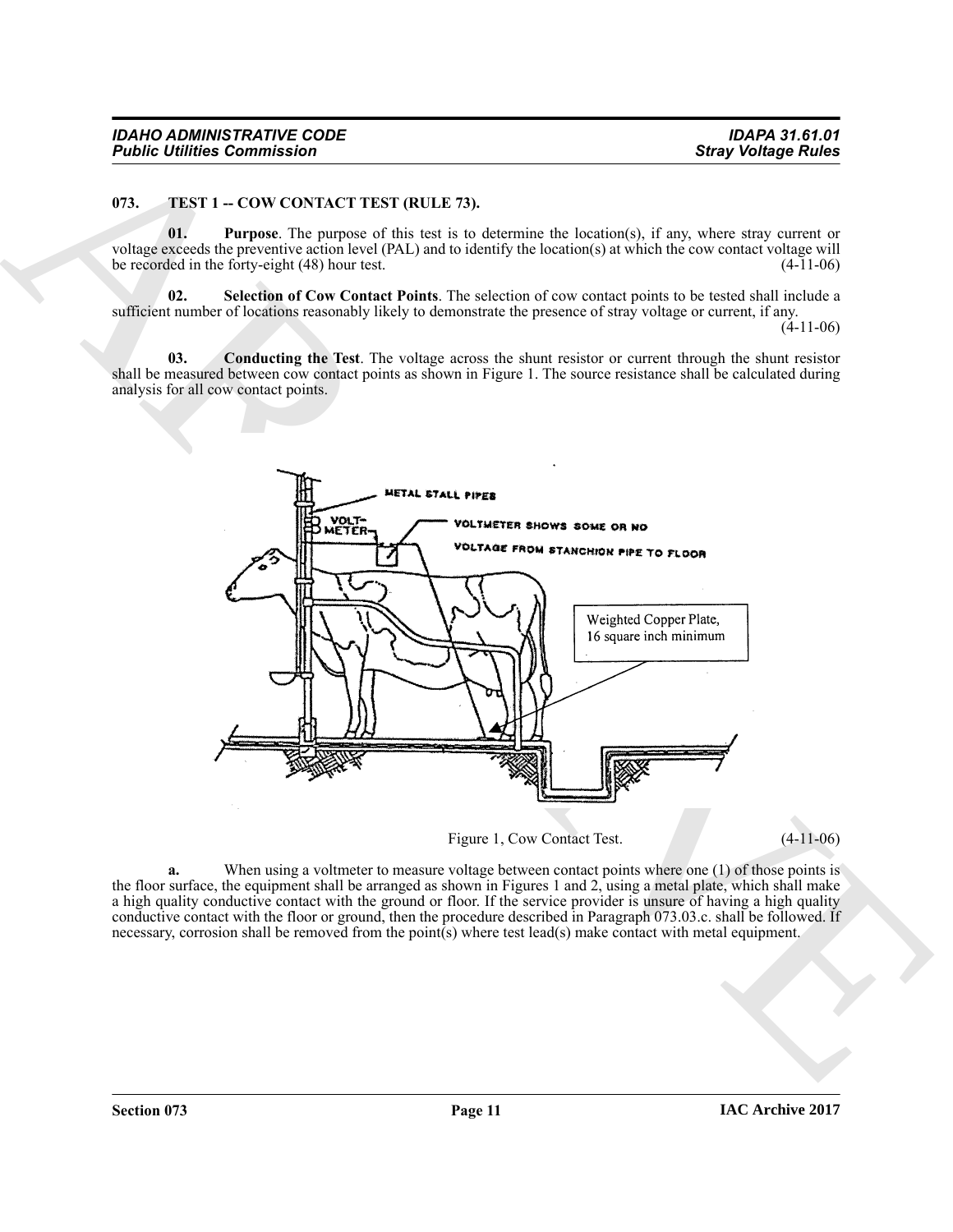#### <span id="page-10-1"></span><span id="page-10-0"></span>**073.** TEST 1 -- COW CONTACT TEST (RULE 73).

<span id="page-10-3"></span>**01. Purpose**. The purpose of this test is to determine the location(s), if any, where stray current or voltage exceeds the preventive action level (PAL) and to identify the location(s) at which the cow contact voltage will be recorded in the forty-eight  $(48)$  hour test.

<span id="page-10-4"></span>**02. Selection of Cow Contact Points**. The selection of cow contact points to be tested shall include a sufficient number of locations reasonably likely to demonstrate the presence of stray voltage or current, if any.

(4-11-06)

<span id="page-10-2"></span>**03. Conducting the Test**. The voltage across the shunt resistor or current through the shunt resistor shall be measured between cow contact points as shown in Figure 1. The source resistance shall be calculated during analysis for all cow contact points.



Figure 1, Cow Contact Test. (4-11-06)

**a.** When using a voltmeter to measure voltage between contact points where one (1) of those points is the floor surface, the equipment shall be arranged as shown in Figures 1 and 2, using a metal plate, which shall make a high quality conductive contact with the ground or floor. If the service provider is unsure of having a high quality conductive contact with the floor or ground, then the procedure described in Paragraph 073.03.c. shall be followed. If necessary, corrosion shall be removed from the point(s) where test lead(s) make contact with metal equipment.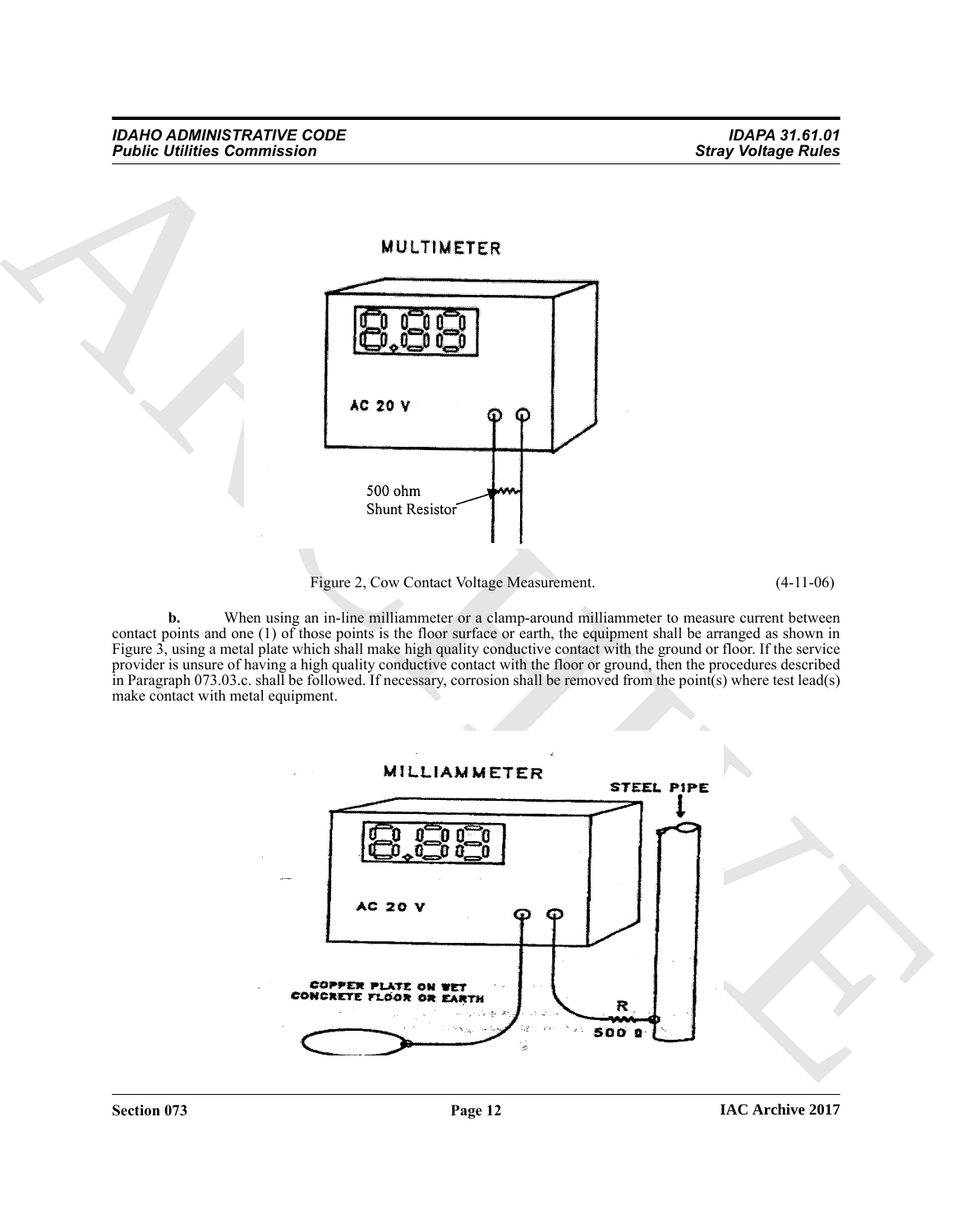

Figure 2, Cow Contact Voltage Measurement. (4-11-06)

**b.** When using an in-line milliammeter or a clamp-around milliammeter to measure current between contact points and one (1) of those points is the floor surface or earth, the equipment shall be arranged as shown in Figure 3, using a metal plate which shall make high quality conductive contact with the ground or floor. If the service provider is unsure of having a high quality conductive contact with the floor or ground, then the procedures described in Paragraph 073.03.c. shall be followed. If necessary, corrosion shall be removed from the point(s) where test lead(s) make contact with metal equipment.

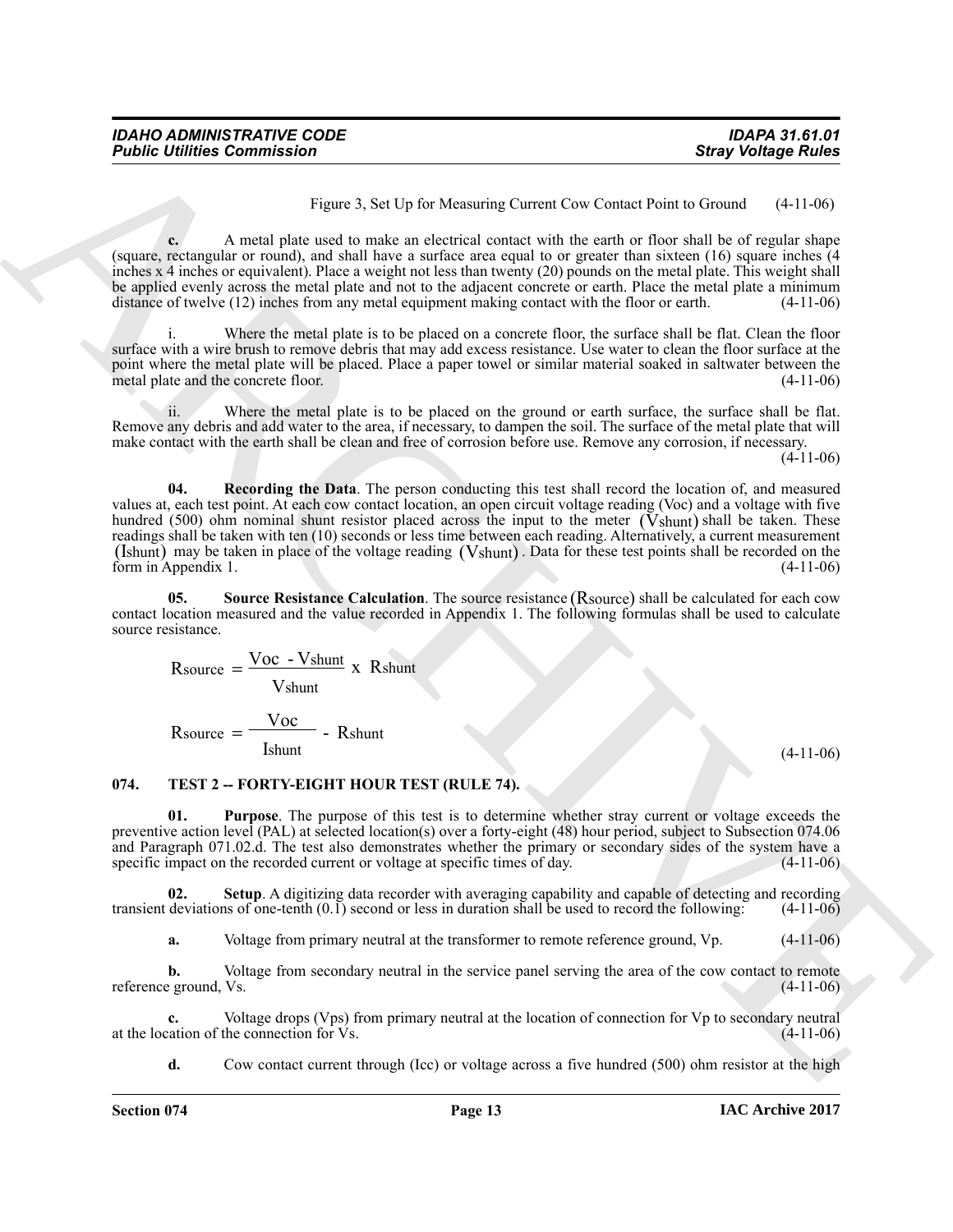Figure 3, Set Up for Measuring Current Cow Contact Point to Ground (4-11-06)

**c.** A metal plate used to make an electrical contact with the earth or floor shall be of regular shape (square, rectangular or round), and shall have a surface area equal to or greater than sixteen (16) square inches (4 inches x 4 inches or equivalent). Place a weight not less than twenty (20) pounds on the metal plate. This weight shall be applied evenly across the metal plate and not to the adjacent concrete or earth. Place the metal plate a minimum distance of twelve (12) inches from any metal equipment making contact with the floor or earth. (4-11-06)

i. Where the metal plate is to be placed on a concrete floor, the surface shall be flat. Clean the floor surface with a wire brush to remove debris that may add excess resistance. Use water to clean the floor surface at the point where the metal plate will be placed. Place a paper towel or similar material soaked in saltwater between the metal plate and the concrete floor. (4-11-06)

<span id="page-12-1"></span>ii. Where the metal plate is to be placed on the ground or earth surface, the surface shall be flat. Remove any debris and add water to the area, if necessary, to dampen the soil. The surface of the metal plate that will make contact with the earth shall be clean and free of corrosion before use. Remove any corrosion, if necessary.

(4-11-06)

**Foshie Uniters Commission •**<br>**Stary looking the start of the start of the EV Monstane Cancel Cost Costant and New York (4) the start of the start<br>(square, for each of the start of the start of the start of the form of th 04. Recording the Data**. The person conducting this test shall record the location of, and measured values at, each test point. At each cow contact location, an open circuit voltage reading (Voc) and a voltage with five hundred (500) ohm nominal shunt resistor placed across the input to the meter  $(Vshunt)$  shall be taken. These readings shall be taken with ten (10) seconds or less time between each reading. Alternatively, a current measurement (Ishunt) may be taken in place of the voltage reading (Vshunt). Data for these test points shall be recorded on the form in Appendix 1.  $(4-11-06)$ 

05. Source Resistance Calculation. The source resistance (Rsource) shall be calculated for each cow contact location measured and the value recorded in Appendix 1. The following formulas shall be used to calculate source resistance.

<span id="page-12-2"></span>
$$
R\text{source} = \frac{\text{Voc} - \text{Vshunt}}{\text{Vshunt}} \times R\text{shunt}
$$

<span id="page-12-4"></span><span id="page-12-3"></span>
$$
R\text{source} = \frac{\text{Voc}}{\text{Ishunt}} - \text{Rshunt}
$$

(4-11-06)

#### <span id="page-12-0"></span>074. TEST 2 -- FORTY-EIGHT HOUR TEST (RULE 74).

**01. Purpose**. The purpose of this test is to determine whether stray current or voltage exceeds the preventive action level (PAL) at selected location(s) over a forty-eight (48) hour period, subject to Subsection 074.06 and Paragraph 071.02.d. The test also demonstrates whether the primary or secondary sides of the system have a specific impact on the recorded current or voltage at specific times of day.

**02.** Setup. A digitizing data recorder with averaging capability and capable of detecting and recording deviations of one-tenth (0.1) second or less in duration shall be used to record the following: (4-11-06) transient deviations of one-tenth  $(0.1)$  second or less in duration shall be used to record the following:

<span id="page-12-5"></span>**a.** Voltage from primary neutral at the transformer to remote reference ground, Vp.  $(4-11-06)$ 

**b.** Voltage from secondary neutral in the service panel serving the area of the cow contact to remote e ground. Vs. (4-11-06) reference ground, Vs.

**c.** Voltage drops (Vps) from primary neutral at the location of connection for Vp to secondary neutral attion of the connection for Vs. (4-11-06) at the location of the connection for  $\overline{V}s$ .

**d.** Cow contact current through (Icc) or voltage across a five hundred (500) ohm resistor at the high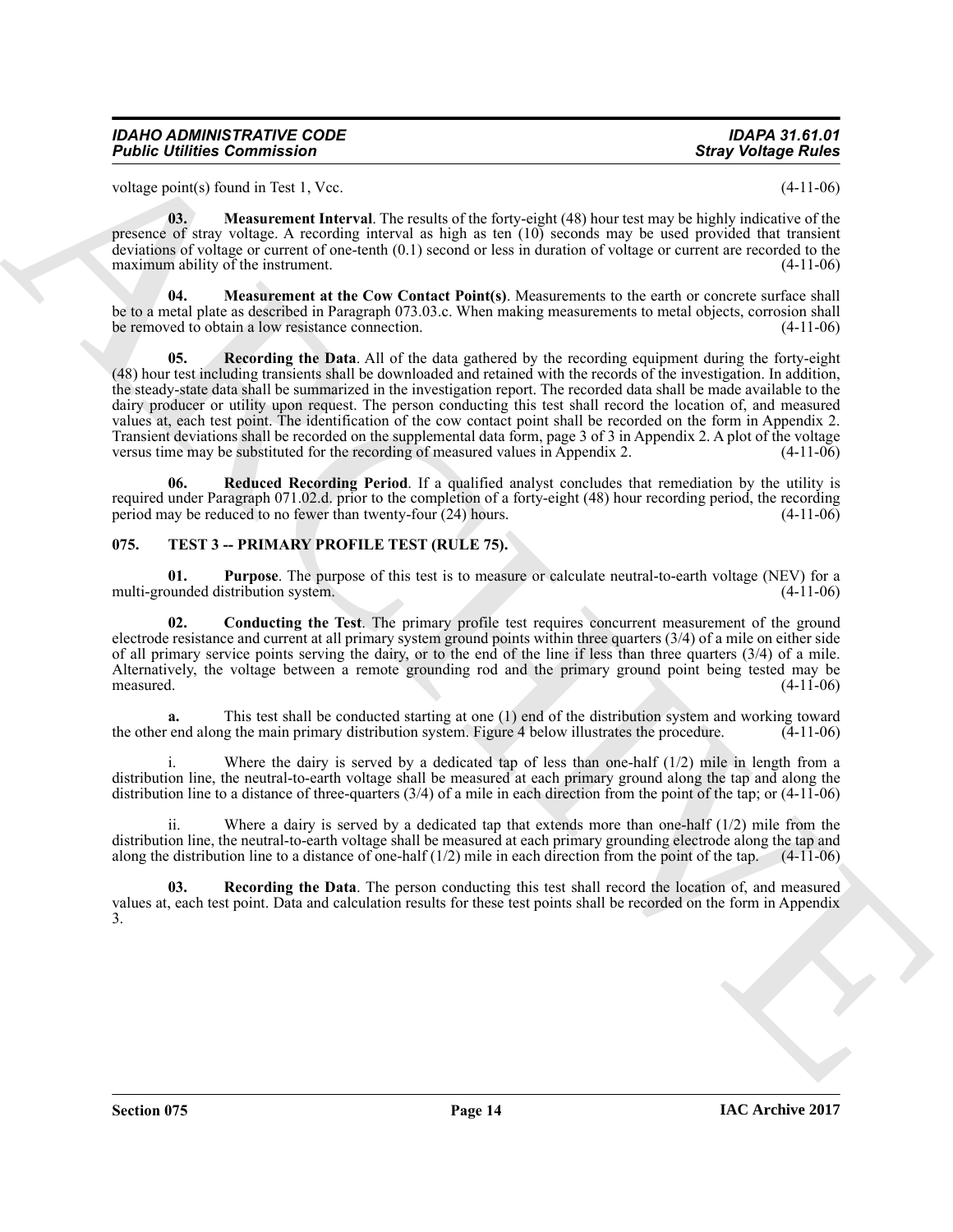| IDAHO ADMINISTRATIVE CODE          | IDAPA 31.61.01             |
|------------------------------------|----------------------------|
| <b>Public Utilities Commission</b> | <b>Stray Voltage Rules</b> |

voltage point(s) found in Test 1, Vcc. (4-11-06)

<span id="page-13-2"></span>**03.** Measurement Interval. The results of the forty-eight (48) hour test may be highly indicative of the presence of stray voltage. A recording interval as high as ten (10) seconds may be used provided that transient deviations of voltage or current of one-tenth (0.1) second or less in duration of voltage or current are recorded to the maximum ability of the instrument. (4-11-06)

<span id="page-13-3"></span><span id="page-13-1"></span>**04.** Measurement at the Cow Contact Point(s). Measurements to the earth or concrete surface shall be to a metal plate as described in Paragraph 073.03.c. When making measurements to metal objects, corrosion shall be removed to obtain a low resistance connection. (4-11-06)

**Folding Commission**<br>
voltage Altistes Commission<br>
voltage Altistes Commission<br>
voltage Altistes Commission<br>
voltage Altistes Commission<br>
grows CM in the anarcment interaction (see form) in the star of the star of the sta **05. Recording the Data**. All of the data gathered by the recording equipment during the forty-eight (48) hour test including transients shall be downloaded and retained with the records of the investigation. In addition, the steady-state data shall be summarized in the investigation report. The recorded data shall be made available to the dairy producer or utility upon request. The person conducting this test shall record the location of, and measured values at, each test point. The identification of the cow contact point shall be recorded on the form in Appendix 2. Transient deviations shall be recorded on the supplemental data form, page 3 of 3 in Appendix 2. A plot of the voltage versus time may be substituted for the recording of measured values in Appendix 2. (4-11-06) versus time may be substituted for the recording of measured values in Appendix 2.

<span id="page-13-4"></span>**06. Reduced Recording Period**. If a qualified analyst concludes that remediation by the utility is required under Paragraph 071.02.d. prior to the completion of a forty-eight (48) hour recording period, the recording period may be reduced to no fewer than twenty-four (24) hours. (4-11-06) period may be reduced to no fewer than twenty-four  $(24)$  hours.

#### <span id="page-13-5"></span><span id="page-13-0"></span>**075. TEST 3 -- PRIMARY PROFILE TEST (RULE 75).**

<span id="page-13-7"></span>**01. Purpose**. The purpose of this test is to measure or calculate neutral-to-earth voltage (NEV) for a punded distribution system.  $(4-11-06)$ multi-grounded distribution system.

<span id="page-13-6"></span>**02. Conducting the Test**. The primary profile test requires concurrent measurement of the ground electrode resistance and current at all primary system ground points within three quarters (3/4) of a mile on either side of all primary service points serving the dairy, or to the end of the line if less than three quarters (3/4) of a mile. Alternatively, the voltage between a remote grounding rod and the primary ground point being tested may be measured. (4-11-06) measured.  $(4-11-06)$ 

**a.** This test shall be conducted starting at one (1) end of the distribution system and working toward end along the main primary distribution system. Figure 4 below illustrates the procedure. (4-11-06) the other end along the main primary distribution system. Figure 4 below illustrates the procedure.

i. Where the dairy is served by a dedicated tap of less than one-half (1/2) mile in length from a distribution line, the neutral-to-earth voltage shall be measured at each primary ground along the tap and along the distribution line to a distance of three-quarters (3/4) of a mile in each direction from the point of the tap; or (4-11-06)

ii. Where a dairy is served by a dedicated tap that extends more than one-half (1/2) mile from the distribution line, the neutral-to-earth voltage shall be measured at each primary grounding electrode along the tap and along the distribution line to a distance of one-half  $(1/2)$  mile in each direction from the point of the tap.  $(4-11-06)$ 

<span id="page-13-8"></span>**03. Recording the Data**. The person conducting this test shall record the location of, and measured values at, each test point. Data and calculation results for these test points shall be recorded on the form in Appendix 3.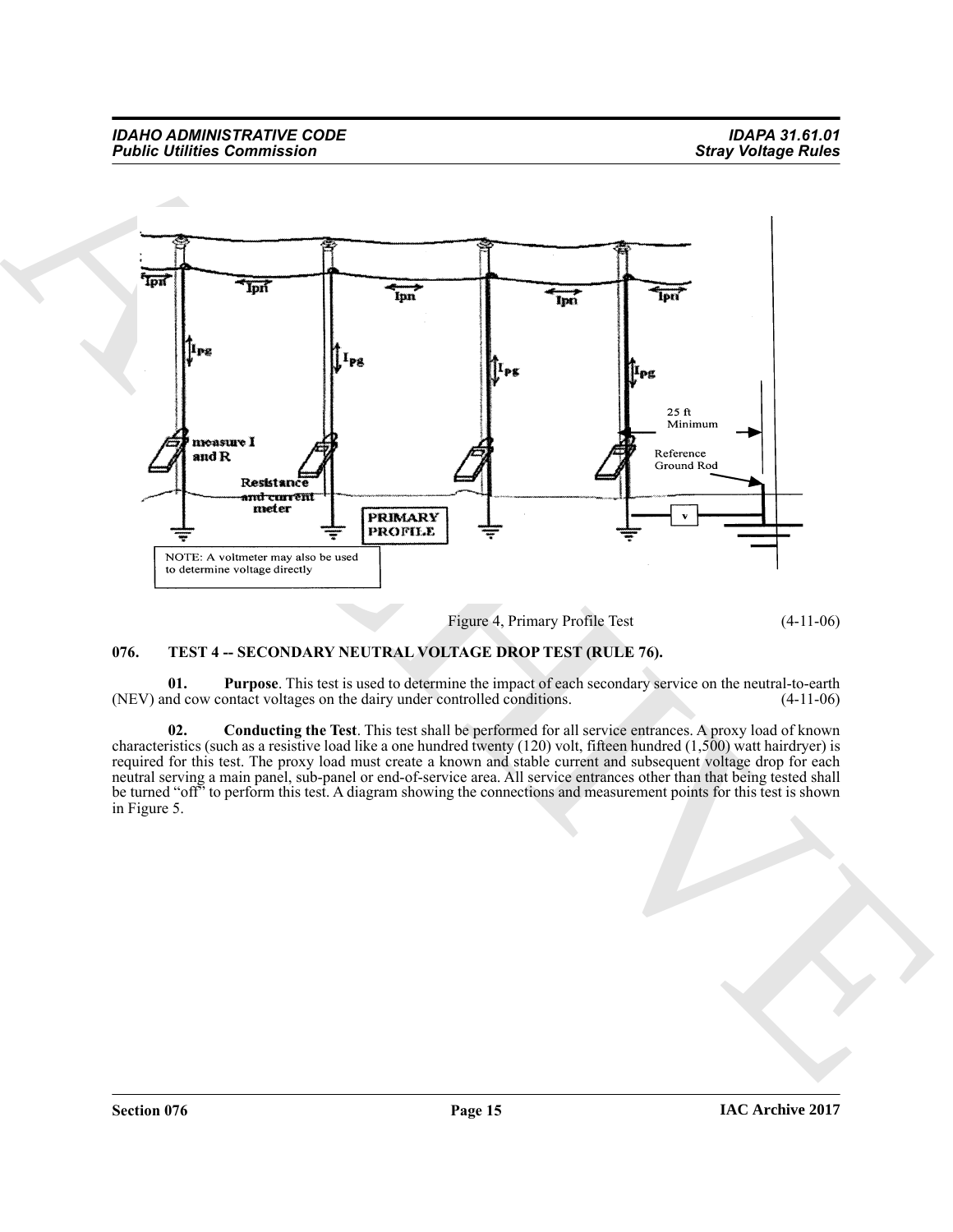

Figure 4, Primary Profile Test (4-11-06)

#### <span id="page-14-1"></span><span id="page-14-0"></span>**076. TEST 4 -- SECONDARY NEUTRAL VOLTAGE DROP TEST (RULE 76).**

<span id="page-14-3"></span>**01.** Purpose. This test is used to determine the impact of each secondary service on the neutral-to-earth nd cow contact voltages on the dairy under controlled conditions. (4-11-06) (NEV) and cow contact voltages on the dairy under controlled conditions.

<span id="page-14-2"></span>**02. Conducting the Test**. This test shall be performed for all service entrances. A proxy load of known characteristics (such as a resistive load like a one hundred twenty (120) volt, fifteen hundred (1,500) watt hairdryer) is required for this test. The proxy load must create a known and stable current and subsequent voltage drop for each neutral serving a main panel, sub-panel or end-of-service area. All service entrances other than that being tested shall be turned "off" to perform this test. A diagram showing the connections and measurement points for this test is shown in Figure 5.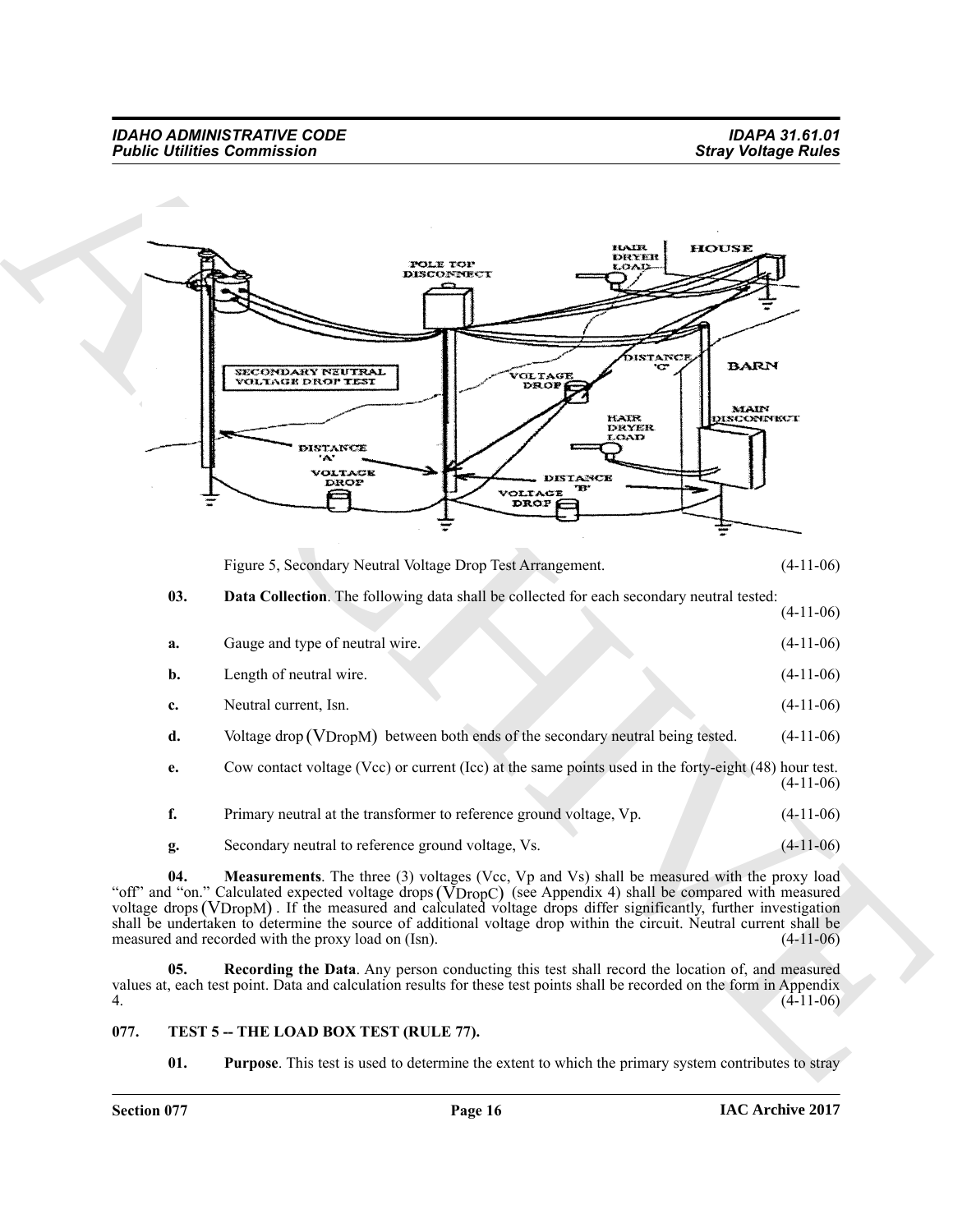

<span id="page-15-1"></span>Figure 5, Secondary Neutral Voltage Drop Test Arrangement. (4-11-06)

#### **03. Data Collection**. The following data shall be collected for each secondary neutral tested: (4-11-06)

| a.             | Gauge and type of neutral wire.                                                                       | $(4-11-06)$ |
|----------------|-------------------------------------------------------------------------------------------------------|-------------|
| $\mathbf{b}$ . | Length of neutral wire.                                                                               | $(4-11-06)$ |
| c.             | Neutral current, Isn.                                                                                 | $(4-11-06)$ |
| d.             | Voltage drop (VDropM) between both ends of the secondary neutral being tested.                        | $(4-11-06)$ |
| e.             | Cow contact voltage (Vcc) or current (Icc) at the same points used in the forty-eight (48) hour test. | $(4-11-06)$ |
| f.             | Primary neutral at the transformer to reference ground voltage, Vp.                                   | $(4-11-06)$ |
| g.             | Secondary neutral to reference ground voltage, Vs.                                                    | $(4-11-06)$ |

<span id="page-15-2"></span>**04.** Measurements. The three (3) voltages (Vcc, Vp and Vs) shall be measured with the proxy load "off" and "on." Calculated expected voltage drops (VDropC) (see Appendix 4) shall be compared with measured "off" and "on." Calculated expected voltage drops (VDropC) (see Appendix 4) shall be compared with measured voltage drops (VDropM). If the measured and calculated voltage drops differ significantly, further investigation shall be undertaken to determine the source of additional voltage drop within the circuit. Neutral current shall be measured and recorded with the proxy load on (Isn). measured and recorded with the proxy load on (Isn).

<span id="page-15-3"></span>**05. Recording the Data**. Any person conducting this test shall record the location of, and measured values at, each test point. Data and calculation results for these test points shall be recorded on the form in Appendix 4. (4-11-06)

#### <span id="page-15-0"></span>077. TEST 5 -- THE LOAD BOX TEST (RULE 77).

<span id="page-15-5"></span><span id="page-15-4"></span>**01.** Purpose. This test is used to determine the extent to which the primary system contributes to stray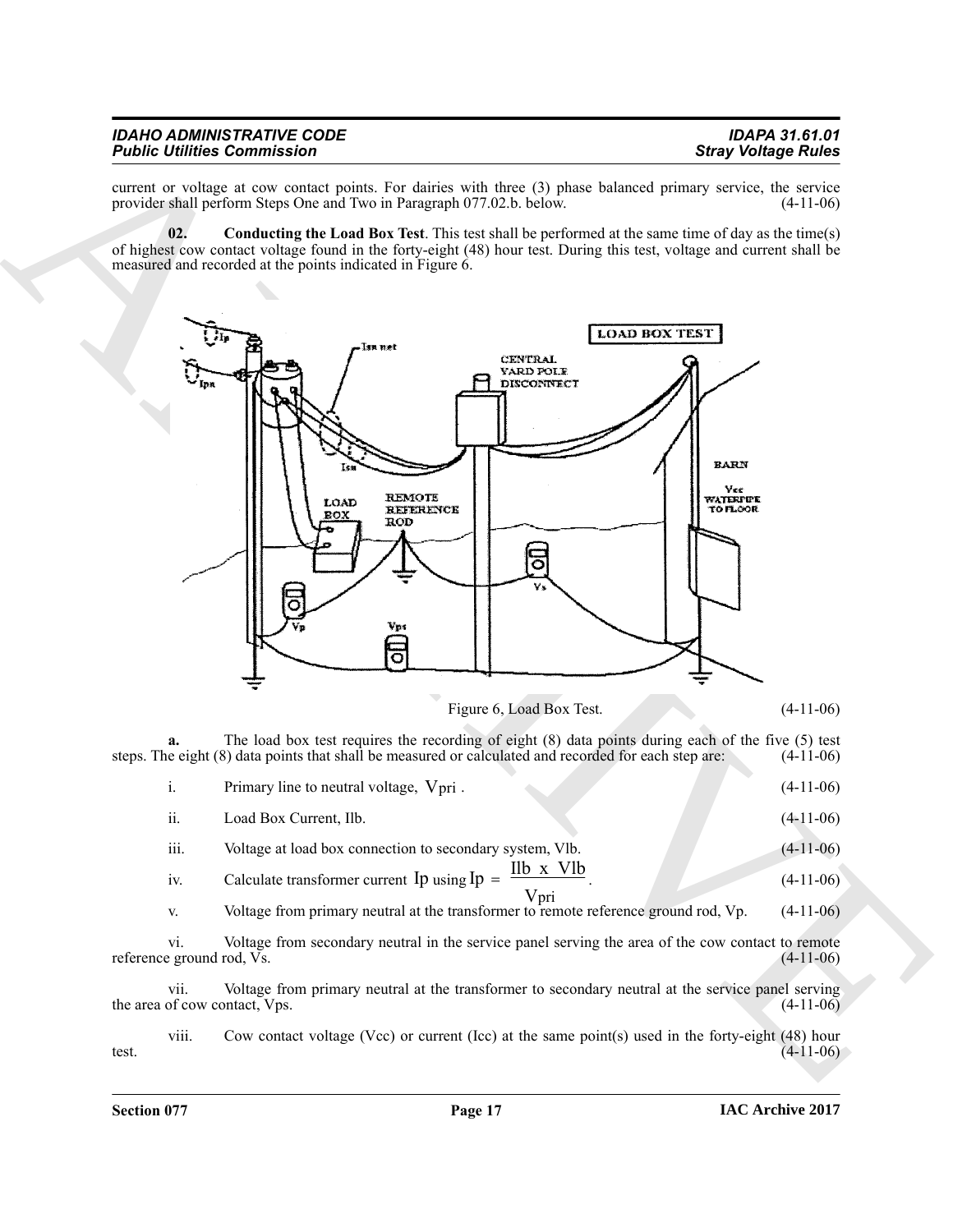| <b>IDAHO ADMINISTRATIVE CODE</b>   | <b>IDAPA 31.61.01</b>      |
|------------------------------------|----------------------------|
| <b>Public Utilities Commission</b> | <b>Stray Voltage Rules</b> |

current or voltage at cow contact points. For dairies with three (3) phase balanced primary service, the service provider shall perform Steps One and Two in Paragraph 077.02.b. below. (4-11-06) provider shall perform Steps One and Two in Paragraph 077.02.b. below.

<span id="page-16-0"></span>**02. Conducting the Load Box Test**. This test shall be performed at the same time of day as the time(s) of highest cow contact voltage found in the forty-eight (48) hour test. During this test, voltage and current shall be measured and recorded at the points indicated in Figure 6.



Figure 6, Load Box Test. (4-11-06)

**a.** The load box test requires the recording of eight (8) data points during each of the five (5) test e eight (8) data points that shall be measured or calculated and recorded for each step are: (4-11-06) steps. The eight (8) data points that shall be measured or calculated and recorded for each step are:

|      | Primary line to neutral voltage, $V_{\text{pri}}$ .                                       | $(4-11-06)$ |
|------|-------------------------------------------------------------------------------------------|-------------|
| ii.  | Load Box Current, Ilb.                                                                    | $(4-11-06)$ |
| iii. | Voltage at load box connection to secondary system, Vlb.                                  | $(4-11-06)$ |
|      | Ilb x Vlb<br>$\alpha$ $\alpha$ $\beta$ $\alpha$ $\beta$ $\beta$ $\gamma$ $\beta$ $\gamma$ |             |

iv. Calculate transformer current  $\text{Ip}$  using  $\text{Ip} = \frac{\text{III} \times \text{VID}}{\text{II}}$ . (4-11-06) Vpri

v. Voltage from primary neutral at the transformer to remote reference ground rod, Vp. (4-11-06)

vi. Voltage from secondary neutral in the service panel serving the area of the cow contact to remote reference ground rod,  $\overline{Vs}$ .

vii. Voltage from primary neutral at the transformer to secondary neutral at the service panel serving of cow contact, Vps. (4-11-06) the area of cow contact, Vps.

viii. Cow contact voltage (Vcc) or current (Icc) at the same point(s) used in the forty-eight (48) hour test.  $(4-11-06)$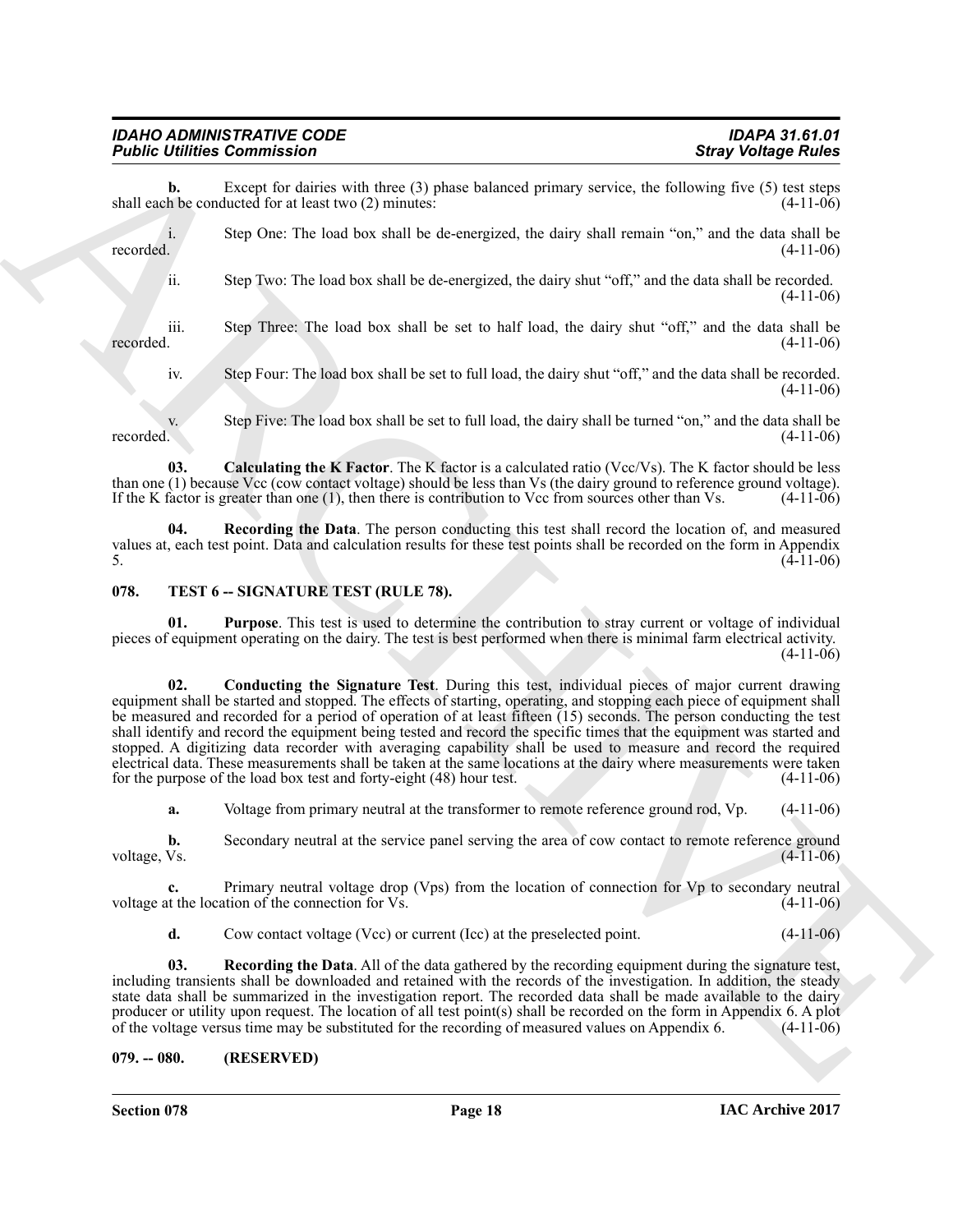**b.** Except for dairies with three (3) phase balanced primary service, the following five (5) test steps h be conducted for at least two (2) minutes: shall each be conducted for at least two  $(2)$  minutes:

i. Step One: The load box shall be de-energized, the dairy shall remain "on," and the data shall be recorded.  $(4-11-06)$ 

ii. Step Two: The load box shall be de-energized, the dairy shut "off," and the data shall be recorded. (4-11-06)

iii. Step Three: The load box shall be set to half load, the dairy shut "off," and the data shall be recorded.  $(4-11-06)$ 

<span id="page-17-2"></span>iv. Step Four: The load box shall be set to full load, the dairy shut "off," and the data shall be recorded. (4-11-06)

v. Step Five: The load box shall be set to full load, the dairy shall be turned "on," and the data shall be recorded. (4-11-06) recorded.  $(4-11-06)$ 

**03.** Calculating the K Factor. The K factor is a calculated ratio (Vcc/Vs). The K factor should be less than one (1) because Vcc (cow contact voltage) should be less than Vs (the dairy ground to reference ground voltage).<br>If the K factor is greater than one (1), then there is contribution to Vcc from sources other than Vs. ( If the K factor is greater than one  $(1)$ , then there is contribution to Vcc from sources other than Vs.

<span id="page-17-3"></span>**04. Recording the Data**. The person conducting this test shall record the location of, and measured values at, each test point. Data and calculation results for these test points shall be recorded on the form in Appendix 5.  $(4-11-06)$ 

#### <span id="page-17-4"></span><span id="page-17-0"></span>**078. TEST 6 -- SIGNATURE TEST (RULE 78).**

<span id="page-17-6"></span><span id="page-17-5"></span>**01. Purpose**. This test is used to determine the contribution to stray current or voltage of individual pieces of equipment operating on the dairy. The test is best performed when there is minimal farm electrical activity.  $(4-11-06)$ 

**Folding Example 2011**<br> **Starp Contrast Contrast Contrast Contrast Contrast Contrast Contrast Contrast Contrast Contrast Contrast Contrast Contrast Contrast Contrast Contrast Contrast Contrast Contrast Contrast Contrast C 02. Conducting the Signature Test**. During this test, individual pieces of major current drawing equipment shall be started and stopped. The effects of starting, operating, and stopping each piece of equipment shall be measured and recorded for a period of operation of at least fifteen (15) seconds. The person conducting the test shall identify and record the equipment being tested and record the specific times that the equipment was started and stopped. A digitizing data recorder with averaging capability shall be used to measure and record the required electrical data. These measurements shall be taken at the same locations at the dairy where measurements were taken for the purpose of the load box test and forty-eight (48) hour test. (4-11-06)

**a.** Voltage from primary neutral at the transformer to remote reference ground rod, Vp.  $(4-11-06)$ 

**b.** Secondary neutral at the service panel serving the area of cow contact to remote reference ground voltage, Vs.  $(4-11-06)$ voltage, Vs. (4-11-06)

**c.** Primary neutral voltage drop (Vps) from the location of connection for Vp to secondary neutral it the location of the connection for Vs. (4-11-06) voltage at the location of the connection for Vs.

<span id="page-17-7"></span>**d.** Cow contact voltage (Vcc) or current (Icc) at the preselected point. (4-11-06)

**03. Recording the Data**. All of the data gathered by the recording equipment during the signature test, including transients shall be downloaded and retained with the records of the investigation. In addition, the steady state data shall be summarized in the investigation report. The recorded data shall be made available to the dairy producer or utility upon request. The location of all test point(s) shall be recorded on the form in Appendix 6. A plot of the voltage versus time may be substituted for the recording of measured values on Appendix 6. (4-1 of the voltage versus time may be substituted for the recording of measured values on Appendix 6.

<span id="page-17-1"></span>**079. -- 080. (RESERVED)**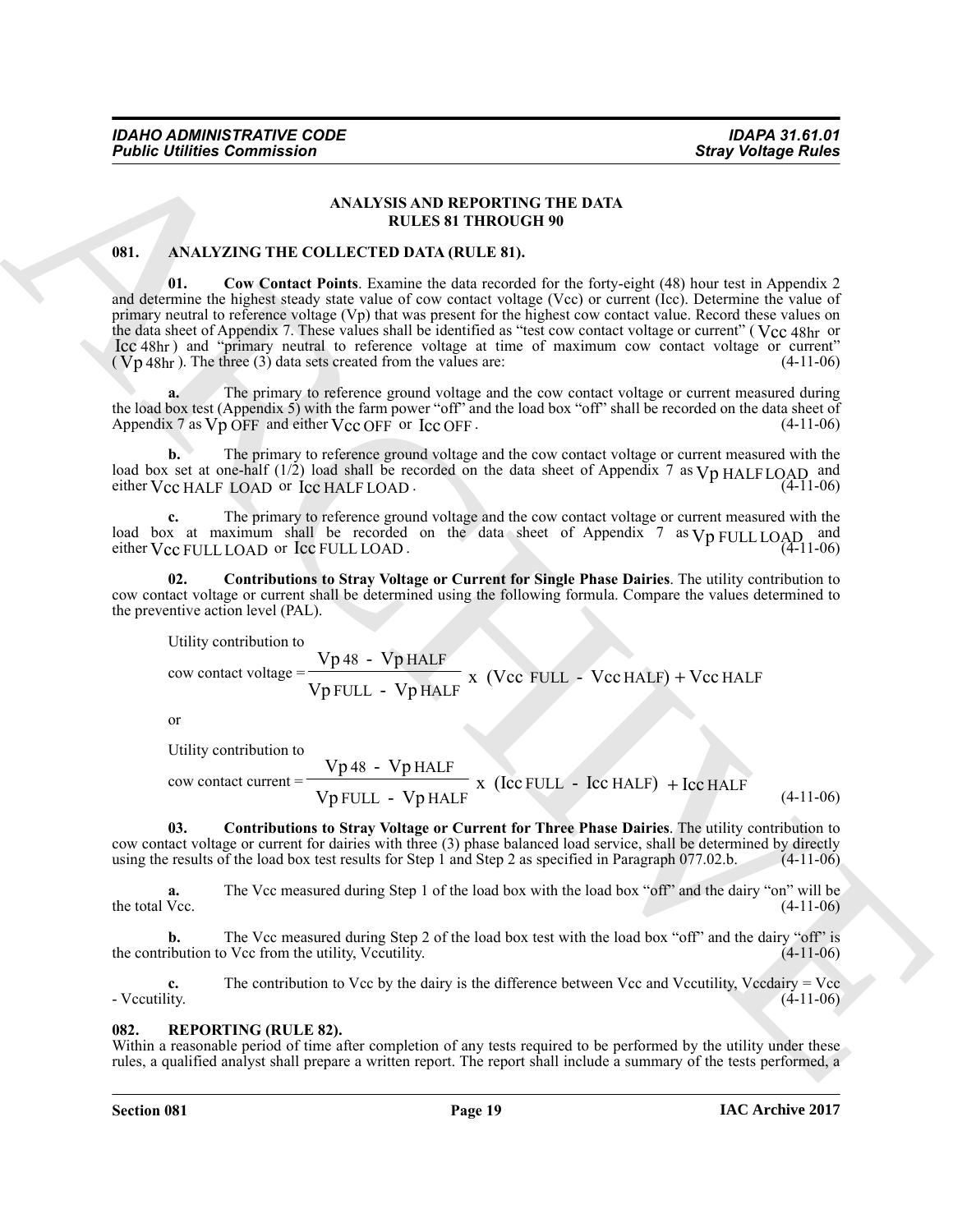#### **ANALYSIS AND REPORTING THE DATA RULES 81 THROUGH 90**

#### <span id="page-18-5"></span><span id="page-18-2"></span><span id="page-18-0"></span>**081. ANALYZING THE COLLECTED DATA (RULE 81).**

**Foshie infinites:** Commission **Stray Voltings Points**<br>
ANALYZAYS THE DATA RELEASE THE DATA RELEASE AND REPORTING THE DATA <br> **ARCHIVE CONSIDER AND REPORTING THE DATA** RELEASE IN the system of the system of the system of t **01. Cow Contact Points**. Examine the data recorded for the forty-eight (48) hour test in Appendix 2 and determine the highest steady state value of cow contact voltage (Vcc) or current (Icc). Determine the value of primary neutral to reference voltage (Vp) that was present for the highest cow contact value. Record these values on the data sheet of Appendix 7. These values shall be identified as "test cow contact voltage or current" (Vcc 48hr or Icc 48hr) and "primary neutral to reference voltage at time of maximum cow contact voltage or current"  $(Vp 48hr)$ . The three (3) data sets created from the values are:  $(4-11-06)$ 

**a.** The primary to reference ground voltage and the cow contact voltage or current measured during the load box test (Appendix 5) with the farm power "off" and the load box "off" shall be recorded on the data sheet of Appendix 7 as  $Vp$  OFF and either  $Vcc$  OFF or  $lcc$  OFF.  $(4-11-06)$ 

**b.** The primary to reference ground voltage and the cow contact voltage or current measured with the load box set at one-half  $(1/2)$  load shall be recorded on the data sheet of Appendix 7 as  $Vp$  HALFLOAD, and either  $Vec$  HALF LOAD or  $T_c$  and  $T_c$  and  $T_c$  and  $T_c$  and  $T_c$  (4-11-06)

**c.** The primary to reference ground voltage and the cow contact voltage or current measured with the load box at maximum shall be recorded on the data sheet of Appendix 7 as  $V_D$   $V_L$   $I_L$   $O_A$  and load box at maximum shall be recorded on the data sheet of Appendix 7 as  $Vp$  FULL LOAD and either  $Vcc$  FULL LOAD or Icc FULL LOAD.

**02. Contributions to Stray Voltage or Current for Single Phase Dairies**. The utility contribution to cow contact voltage or current shall be determined using the following formula. Compare the values determined to the preventive action level (PAL).

<span id="page-18-3"></span>Utility contribution to  
cow contact voltage = 
$$
\frac{Vp48 - VpHALF}{VpFULL - VpHALF}
$$
 x (Vcc FULL - VecHALF) + VecHALF

or

<span id="page-18-4"></span>Utility contribution to  
row contact current = 
$$
\frac{Vp 48 - Vp HALE}{Vp FULL - Vp HALE} \times (Icc FULL - Icc HALE) + Icc HALE
$$
 (4-11-06)

**03. Contributions to Stray Voltage or Current for Three Phase Dairies**. The utility contribution to cow contact voltage or current for dairies with three (3) phase balanced load service, shall be determined by directly using the results of the load box test results for Step 1 and Step 2 as specified in Paragraph 077.02.b using the results of the load box test results for Step 1 and Step 2 as specified in Paragraph 077.02.b.

**a.** The Vcc measured during Step 1 of the load box with the load box "off" and the dairy "on" will be the total Vcc. (4-11-06) the total Vcc.  $(4-11-06)$ 

**b.** The Vcc measured during Step 2 of the load box test with the load box "off" and the dairy "off" is the contribution to Vcc from the utility, Vccutility. (4-11-06)

**c.** The contribution to Vcc by the dairy is the difference between Vcc and Vccutility, Vccdairy = Vcc - Vccutility. - Vccutility. (4-11-06)

#### <span id="page-18-6"></span><span id="page-18-1"></span>**082. REPORTING (RULE 82).**

Within a reasonable period of time after completion of any tests required to be performed by the utility under these rules, a qualified analyst shall prepare a written report. The report shall include a summary of the tests performed, a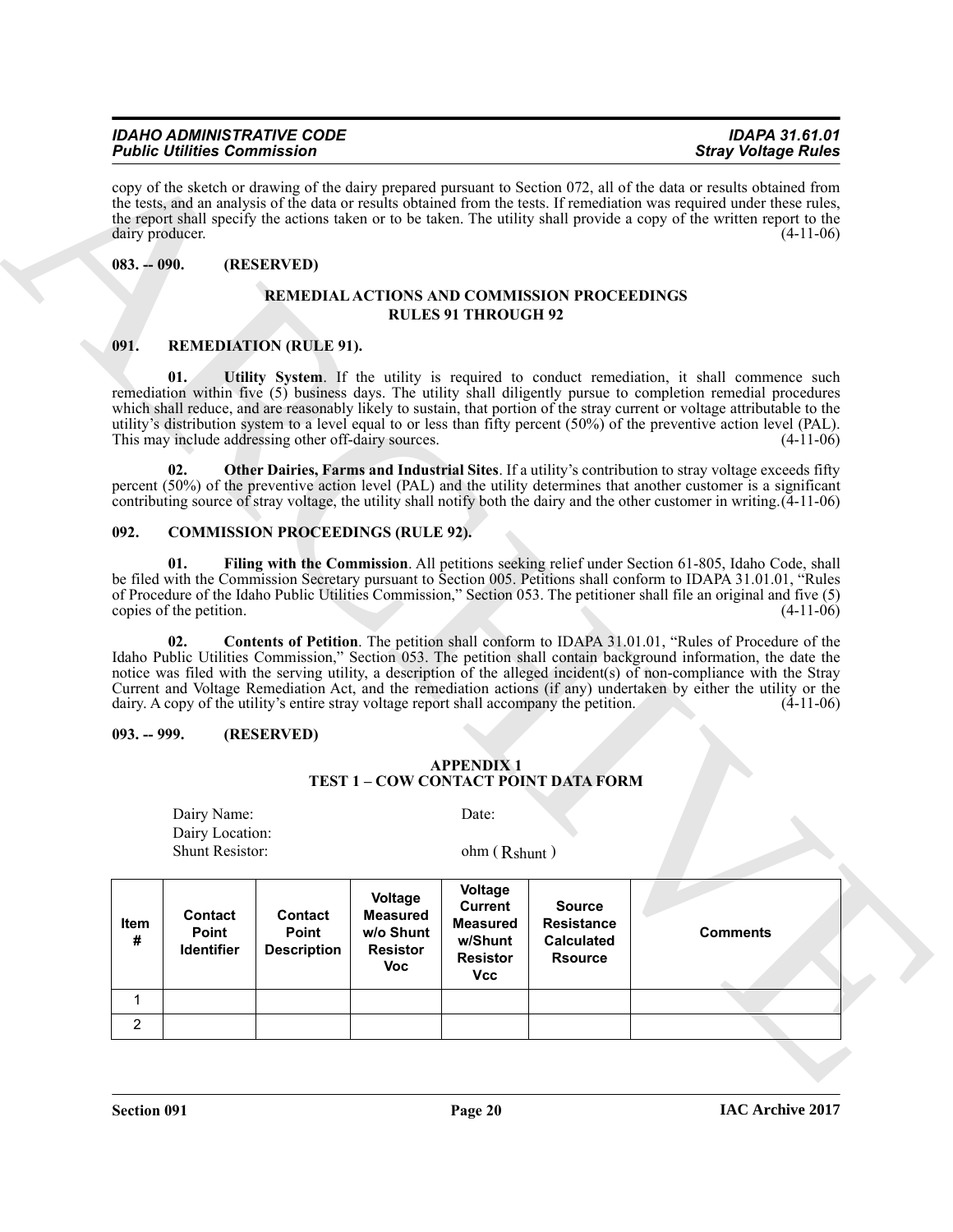#### *IDAHO ADMINISTRATIVE CODE IDAPA 31.61.01 Public Utilities Commission*

#### <span id="page-19-0"></span>**083. -- 090. (RESERVED)**

#### <span id="page-19-10"></span><span id="page-19-7"></span>**REMEDIAL ACTIONS AND COMMISSION PROCEEDINGS RULES 91 THROUGH 92**

#### <span id="page-19-8"></span><span id="page-19-1"></span>**091. REMEDIATION (RULE 91).**

#### <span id="page-19-9"></span><span id="page-19-6"></span><span id="page-19-5"></span><span id="page-19-4"></span><span id="page-19-2"></span>**092. COMMISSION PROCEEDINGS (RULE 92).**

#### <span id="page-19-3"></span>**093. -- 999. (RESERVED)**

| <b>APPENDIX 1</b>                    |
|--------------------------------------|
| TEST 1 – COW CONTACT POINT DATA FORM |

|                 |                                                   | <b>Public Utilities Commission</b>                   |                                                                          |                                                                                          |                                                                                          | <b>Stray Voltage Rules</b>                                                                                                                                                                                                                                                                                                                                                                                                                                                             |
|-----------------|---------------------------------------------------|------------------------------------------------------|--------------------------------------------------------------------------|------------------------------------------------------------------------------------------|------------------------------------------------------------------------------------------|----------------------------------------------------------------------------------------------------------------------------------------------------------------------------------------------------------------------------------------------------------------------------------------------------------------------------------------------------------------------------------------------------------------------------------------------------------------------------------------|
| dairy producer. |                                                   |                                                      |                                                                          |                                                                                          |                                                                                          | copy of the sketch or drawing of the dairy prepared pursuant to Section 072, all of the data or results obtained from<br>the tests, and an analysis of the data or results obtained from the tests. If remediation was required under these rules,<br>the report shall specify the actions taken or to be taken. The utility shall provide a copy of the written report to the<br>$(4-11-06)$                                                                                          |
| $083. - 090.$   |                                                   | (RESERVED)                                           |                                                                          |                                                                                          |                                                                                          |                                                                                                                                                                                                                                                                                                                                                                                                                                                                                        |
|                 |                                                   |                                                      |                                                                          | <b>RULES 91 THROUGH 92</b>                                                               | <b>REMEDIAL ACTIONS AND COMMISSION PROCEEDINGS</b>                                       |                                                                                                                                                                                                                                                                                                                                                                                                                                                                                        |
| 091.            |                                                   | <b>REMEDIATION (RULE 91).</b>                        |                                                                          |                                                                                          |                                                                                          |                                                                                                                                                                                                                                                                                                                                                                                                                                                                                        |
|                 | 01.                                               | This may include addressing other off-dairy sources. |                                                                          |                                                                                          |                                                                                          | Utility System. If the utility is required to conduct remediation, it shall commence such<br>remediation within five (5) business days. The utility shall diligently pursue to completion remedial procedures<br>which shall reduce, and are reasonably likely to sustain, that portion of the stray current or voltage attributable to the<br>utility's distribution system to a level equal to or less than fifty percent (50%) of the preventive action level (PAL).<br>$(4-11-06)$ |
|                 | 02.                                               |                                                      |                                                                          |                                                                                          |                                                                                          | Other Dairies, Farms and Industrial Sites. If a utility's contribution to stray voltage exceeds fifty<br>percent (50%) of the preventive action level (PAL) and the utility determines that another customer is a significant<br>contributing source of stray voltage, the utility shall notify both the dairy and the other customer in writing $(4-11-06)$                                                                                                                           |
| 092.            |                                                   | <b>COMMISSION PROCEEDINGS (RULE 92).</b>             |                                                                          |                                                                                          |                                                                                          |                                                                                                                                                                                                                                                                                                                                                                                                                                                                                        |
|                 | 01.<br>copies of the petition.                    |                                                      |                                                                          |                                                                                          |                                                                                          | Filing with the Commission. All petitions seeking relief under Section 61-805, Idaho Code, shall<br>be filed with the Commission Secretary pursuant to Section 005. Petitions shall conform to IDAPA 31.01.01, "Rules<br>of Procedure of the Idaho Public Utilities Commission," Section 053. The petitioner shall file an original and five (5)<br>$(4-11-06)$                                                                                                                        |
|                 | 02.                                               |                                                      |                                                                          |                                                                                          | dairy. A copy of the utility's entire stray voltage report shall accompany the petition. | <b>Contents of Petition</b> . The petition shall conform to IDAPA 31.01.01, "Rules of Procedure of the<br>Idaho Public Utilities Commission," Section 053. The petition shall contain background information, the date the<br>notice was filed with the serving utility, a description of the alleged incident(s) of non-compliance with the Stray<br>Current and Voltage Remediation Act, and the remediation actions (if any) undertaken by either the utility or the<br>$(4-11-06)$ |
|                 |                                                   | (RESERVED)                                           |                                                                          |                                                                                          |                                                                                          |                                                                                                                                                                                                                                                                                                                                                                                                                                                                                        |
| $093. - 999.$   |                                                   |                                                      |                                                                          |                                                                                          |                                                                                          |                                                                                                                                                                                                                                                                                                                                                                                                                                                                                        |
|                 |                                                   |                                                      |                                                                          | <b>APPENDIX1</b>                                                                         | TEST 1 - COW CONTACT POINT DATA FORM                                                     |                                                                                                                                                                                                                                                                                                                                                                                                                                                                                        |
|                 | Dairy Name:<br>Dairy Location:<br>Shunt Resistor: |                                                      |                                                                          | Date:<br>ohm (Rshunt)                                                                    |                                                                                          |                                                                                                                                                                                                                                                                                                                                                                                                                                                                                        |
| Item<br>#       | Contact<br>Point<br>Identifier                    | <b>Contact</b><br>Point<br><b>Description</b>        | Voltage<br><b>Measured</b><br>w/o Shunt<br><b>Resistor</b><br><b>Voc</b> | Voltage<br><b>Current</b><br><b>Measured</b><br>w/Shunt<br><b>Resistor</b><br><b>Vcc</b> | <b>Source</b><br><b>Resistance</b><br><b>Calculated</b><br><b>Rsource</b>                | <b>Comments</b>                                                                                                                                                                                                                                                                                                                                                                                                                                                                        |
| $\mathbf 1$     |                                                   |                                                      |                                                                          |                                                                                          |                                                                                          |                                                                                                                                                                                                                                                                                                                                                                                                                                                                                        |

**Section 091 Page 20**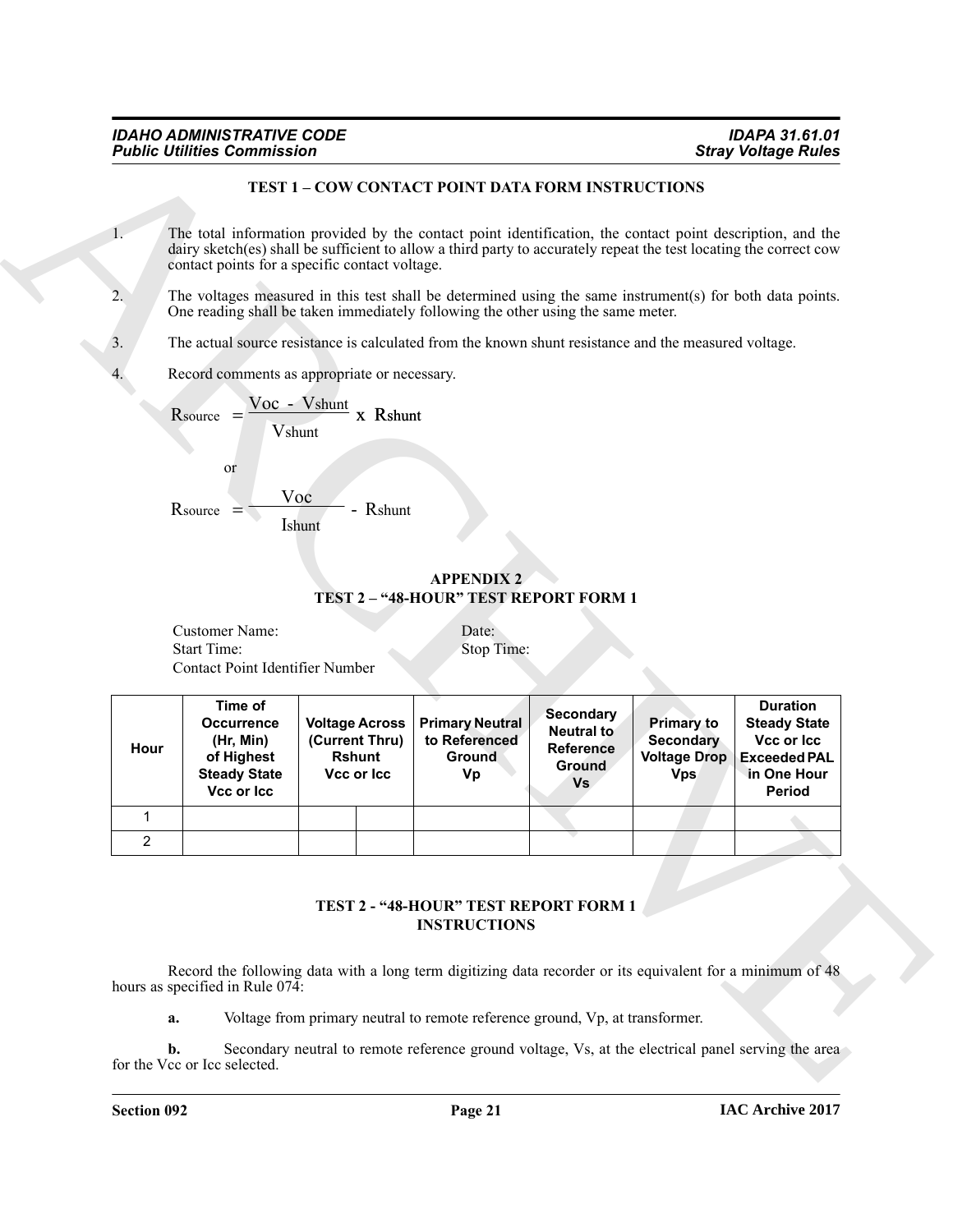#### **TEST 1 – COW CONTACT POINT DATA FORM INSTRUCTIONS**

|      |                                                                                              |                                                                                          | TEST 1 - COW CONTACT POINT DATA FORM INSTRUCTIONS                                                                                                                                                                                |                                                                                  |                                                                            |                                                                                                      |
|------|----------------------------------------------------------------------------------------------|------------------------------------------------------------------------------------------|----------------------------------------------------------------------------------------------------------------------------------------------------------------------------------------------------------------------------------|----------------------------------------------------------------------------------|----------------------------------------------------------------------------|------------------------------------------------------------------------------------------------------|
| 1.   |                                                                                              | contact points for a specific contact voltage.                                           | The total information provided by the contact point identification, the contact point description, and the<br>dairy sketch(es) shall be sufficient to allow a third party to accurately repeat the test locating the correct cow |                                                                                  |                                                                            |                                                                                                      |
| 2.   |                                                                                              |                                                                                          | The voltages measured in this test shall be determined using the same instrument(s) for both data points.<br>One reading shall be taken immediately following the other using the same meter.                                    |                                                                                  |                                                                            |                                                                                                      |
| 3.   |                                                                                              |                                                                                          | The actual source resistance is calculated from the known shunt resistance and the measured voltage.                                                                                                                             |                                                                                  |                                                                            |                                                                                                      |
| 4.   |                                                                                              | Record comments as appropriate or necessary.                                             |                                                                                                                                                                                                                                  |                                                                                  |                                                                            |                                                                                                      |
|      | or<br>$R_{\text{source}} =$                                                                  | $\frac{Voc - Vshunt}{x}$ X Rshunt<br><b>V</b> shunt<br>Voc<br>- Rshunt<br><b>I</b> shunt | <b>APPENDIX 2</b><br>TEST 2 - "48-HOUR" TEST REPORT FORM 1                                                                                                                                                                       |                                                                                  |                                                                            |                                                                                                      |
|      | Customer Name:                                                                               |                                                                                          | Date:                                                                                                                                                                                                                            |                                                                                  |                                                                            |                                                                                                      |
|      | <b>Start Time:</b>                                                                           |                                                                                          | Stop Time:                                                                                                                                                                                                                       |                                                                                  |                                                                            |                                                                                                      |
|      | Contact Point Identifier Number                                                              |                                                                                          |                                                                                                                                                                                                                                  |                                                                                  |                                                                            |                                                                                                      |
| Hour | Time of<br><b>Occurrence</b><br>(Hr, Min)<br>of Highest<br><b>Steady State</b><br>Vcc or Icc | <b>Voltage Across</b><br>(Current Thru)<br><b>Rshunt</b><br>Vcc or Icc                   | <b>Primary Neutral</b><br>to Referenced<br><b>Ground</b><br>Vp                                                                                                                                                                   | <b>Secondary</b><br>Neutral to<br><b>Reference</b><br><b>Ground</b><br><b>Vs</b> | <b>Primary to</b><br><b>Secondary</b><br><b>Voltage Drop</b><br><b>Vps</b> | <b>Duration</b><br><b>Steady State</b><br>Vcc or Icc<br><b>Exceeded PAL</b><br>in One Hour<br>Period |
| 1    |                                                                                              |                                                                                          |                                                                                                                                                                                                                                  |                                                                                  |                                                                            |                                                                                                      |
| 2    |                                                                                              |                                                                                          |                                                                                                                                                                                                                                  |                                                                                  |                                                                            |                                                                                                      |
|      |                                                                                              |                                                                                          | TEST 2 - "48-HOUR" TEST REPORT FORM 1<br><b>INSTRUCTIONS</b>                                                                                                                                                                     |                                                                                  |                                                                            |                                                                                                      |
|      | hours as specified in Rule 074:                                                              |                                                                                          | Record the following data with a long term digitizing data recorder or its equivalent for a minimum of 48<br>Voltage from primary neutral to remote reference ground, Vp, at transformer.                                        |                                                                                  |                                                                            |                                                                                                      |

#### **TEST 2 - "48-HOUR" TEST REPORT FORM 1 INSTRUCTIONS**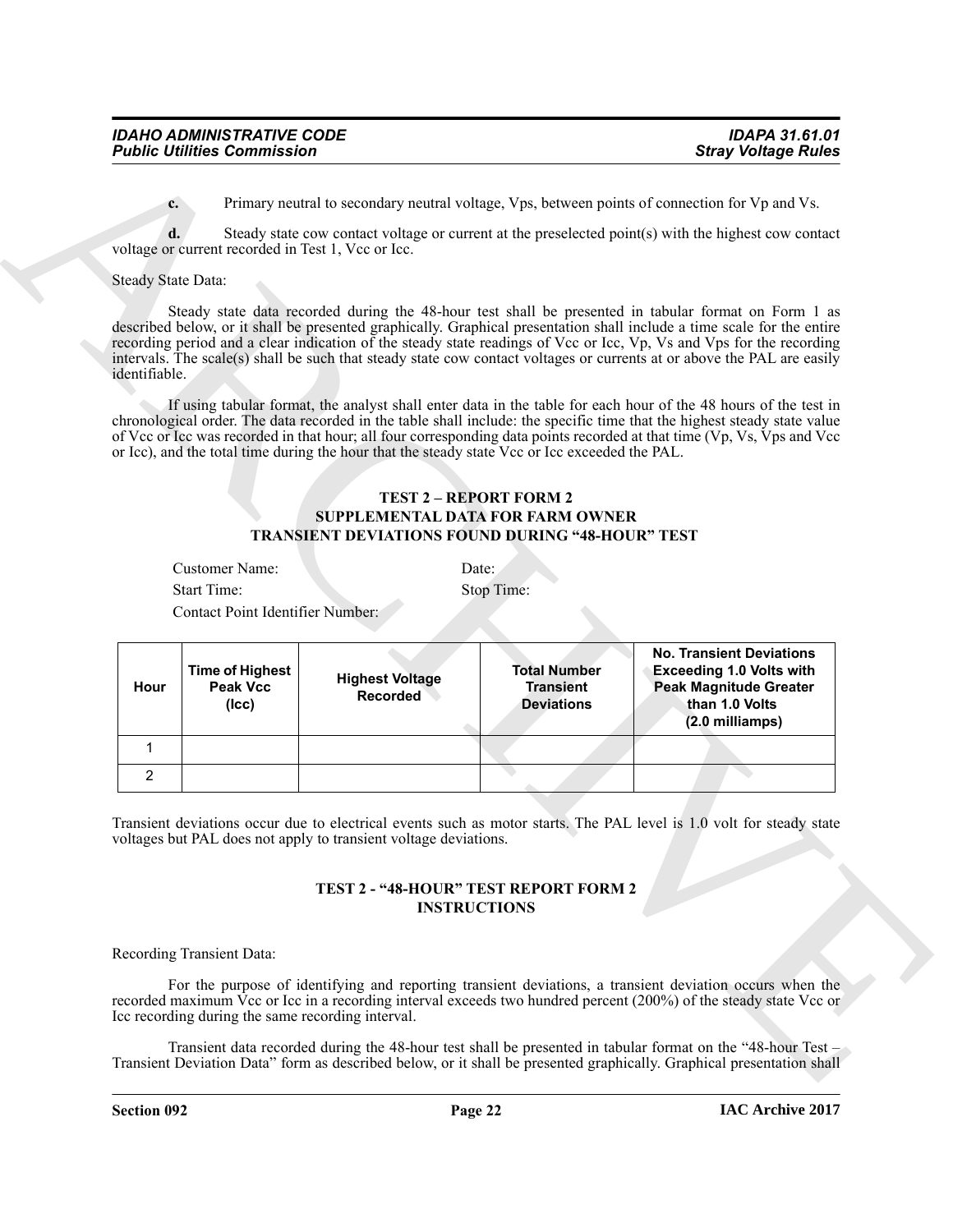#### **TEST 2 – REPORT FORM 2 SUPPLEMENTAL DATA FOR FARM OWNER TRANSIENT DEVIATIONS FOUND DURING "48-HOUR" TEST**

| Customer Name:     | Date:      |
|--------------------|------------|
| <b>Start Time:</b> | Stop Time: |

|                           | <b>Public Utilities Commission</b>                 |                                                                                                           |                                                              | <b>Stray Voltage Rules</b>                                                                                                                                                                                                                                                                                                                                                                                                                                                         |
|---------------------------|----------------------------------------------------|-----------------------------------------------------------------------------------------------------------|--------------------------------------------------------------|------------------------------------------------------------------------------------------------------------------------------------------------------------------------------------------------------------------------------------------------------------------------------------------------------------------------------------------------------------------------------------------------------------------------------------------------------------------------------------|
| $c_{\cdot}$               |                                                    |                                                                                                           |                                                              | Primary neutral to secondary neutral voltage, Vps, between points of connection for Vp and Vs.                                                                                                                                                                                                                                                                                                                                                                                     |
| d.                        |                                                    |                                                                                                           |                                                              | Steady state cow contact voltage or current at the preselected point(s) with the highest cow contact                                                                                                                                                                                                                                                                                                                                                                               |
|                           | voltage or current recorded in Test 1, Vcc or Icc. |                                                                                                           |                                                              |                                                                                                                                                                                                                                                                                                                                                                                                                                                                                    |
| <b>Steady State Data:</b> |                                                    |                                                                                                           |                                                              |                                                                                                                                                                                                                                                                                                                                                                                                                                                                                    |
| identifiable.             |                                                    |                                                                                                           |                                                              | Steady state data recorded during the 48-hour test shall be presented in tabular format on Form 1 as<br>described below, or it shall be presented graphically. Graphical presentation shall include a time scale for the entire<br>recording period and a clear indication of the steady state readings of Vcc or Icc, Vp, Vs and Vps for the recording<br>intervals. The scale(s) shall be such that steady state cow contact voltages or currents at or above the PAL are easily |
|                           |                                                    | or Icc), and the total time during the hour that the steady state Vcc or Icc exceeded the PAL.            |                                                              | If using tabular format, the analyst shall enter data in the table for each hour of the 48 hours of the test in<br>chronological order. The data recorded in the table shall include: the specific time that the highest steady state value<br>of Vcc or Icc was recorded in that hour; all four corresponding data points recorded at that time (Vp, Vs, Vps and Vcc                                                                                                              |
|                           |                                                    | <b>SUPPLEMENTAL DATA FOR FARM OWNER</b><br><b>TRANSIENT DEVIATIONS FOUND DURING "48-HOUR" TEST</b>        | <b>TEST 2 - REPORT FORM 2</b>                                |                                                                                                                                                                                                                                                                                                                                                                                                                                                                                    |
|                           | Customer Name:                                     |                                                                                                           | Date:                                                        |                                                                                                                                                                                                                                                                                                                                                                                                                                                                                    |
|                           | <b>Start Time:</b>                                 |                                                                                                           | Stop Time:                                                   |                                                                                                                                                                                                                                                                                                                                                                                                                                                                                    |
|                           | Contact Point Identifier Number:                   |                                                                                                           |                                                              |                                                                                                                                                                                                                                                                                                                                                                                                                                                                                    |
| Hour                      | <b>Time of Highest</b><br>Peak Vcc<br>$($ cc $)$   | <b>Highest Voltage</b><br><b>Recorded</b>                                                                 | <b>Total Number</b><br><b>Transient</b><br><b>Deviations</b> | <b>No. Transient Deviations</b><br><b>Exceeding 1.0 Volts with</b><br><b>Peak Magnitude Greater</b><br>than 1.0 Volts<br>(2.0 milliamps)                                                                                                                                                                                                                                                                                                                                           |
| $\mathbf{1}$              |                                                    |                                                                                                           |                                                              |                                                                                                                                                                                                                                                                                                                                                                                                                                                                                    |
| $\overline{2}$            |                                                    |                                                                                                           |                                                              |                                                                                                                                                                                                                                                                                                                                                                                                                                                                                    |
|                           |                                                    | voltages but PAL does not apply to transient voltage deviations.<br>TEST 2 - "48-HOUR" TEST REPORT FORM 2 |                                                              | Transient deviations occur due to electrical events such as motor starts. The PAL level is 1.0 volt for steady state                                                                                                                                                                                                                                                                                                                                                               |
|                           |                                                    | <b>INSTRUCTIONS</b>                                                                                       |                                                              |                                                                                                                                                                                                                                                                                                                                                                                                                                                                                    |
|                           | Recording Transient Data:                          |                                                                                                           |                                                              |                                                                                                                                                                                                                                                                                                                                                                                                                                                                                    |
|                           |                                                    | Icc recording during the same recording interval.                                                         |                                                              | For the purpose of identifying and reporting transient deviations, a transient deviation occurs when the<br>recorded maximum Vcc or Icc in a recording interval exceeds two hundred percent (200%) of the steady state Vcc or                                                                                                                                                                                                                                                      |

#### **TEST 2 - "48-HOUR" TEST REPORT FORM 2 INSTRUCTIONS**

#### Recording Transient Data: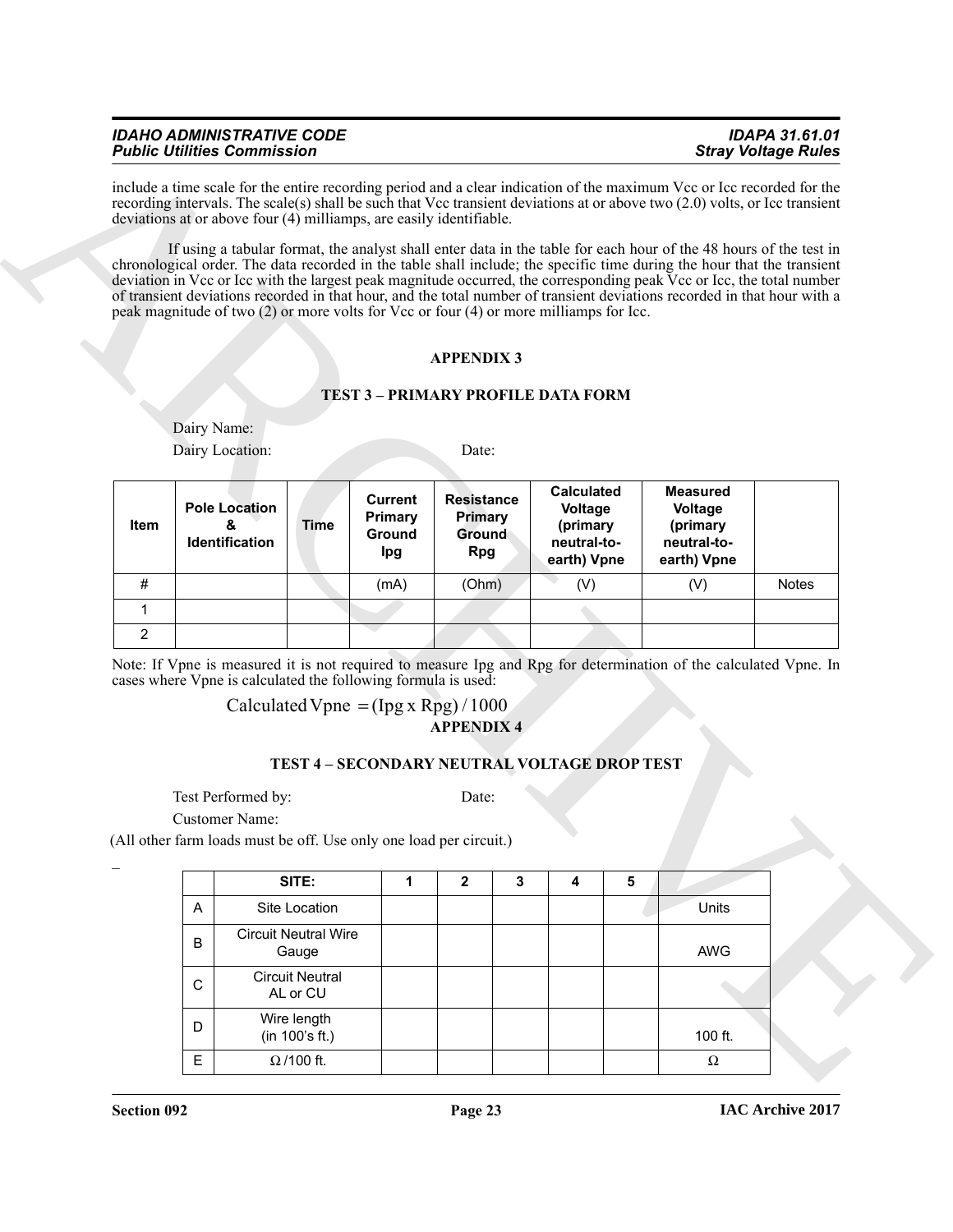#### *IDAHO ADMINISTRATIVE CODE IDAPA 31.61.01 Public Utilities Commission*

#### **APPENDIX 3**

#### **TEST 3 – PRIMARY PROFILE DATA FORM**

|                |             | <b>Public Utilities Commission</b>          |                                      |                                                               |                                                                                                                  |   |                                                                        | <b>Stray Voltage Rules</b>                                                                                                                                                                                                                                                                                                                                                                                                                                                                        |              |
|----------------|-------------|---------------------------------------------|--------------------------------------|---------------------------------------------------------------|------------------------------------------------------------------------------------------------------------------|---|------------------------------------------------------------------------|---------------------------------------------------------------------------------------------------------------------------------------------------------------------------------------------------------------------------------------------------------------------------------------------------------------------------------------------------------------------------------------------------------------------------------------------------------------------------------------------------|--------------|
|                |             |                                             |                                      |                                                               | deviations at or above four (4) milliamps, are easily identifiable.                                              |   |                                                                        | include a time scale for the entire recording period and a clear indication of the maximum Vcc or Icc recorded for the<br>recording intervals. The scale(s) shall be such that Vcc transient deviations at or above two (2.0) volts, or Icc transient                                                                                                                                                                                                                                             |              |
|                |             |                                             |                                      |                                                               | peak magnitude of two (2) or more volts for Vcc or four (4) or more milliamps for Icc.                           |   |                                                                        | If using a tabular format, the analyst shall enter data in the table for each hour of the 48 hours of the test in<br>chronological order. The data recorded in the table shall include; the specific time during the hour that the transient<br>deviation in Vcc or Icc with the largest peak magnitude occurred, the corresponding peak Vcc or Icc, the total number<br>of transient deviations recorded in that hour, and the total number of transient deviations recorded in that hour with a |              |
|                |             |                                             |                                      |                                                               | <b>APPENDIX 3</b>                                                                                                |   |                                                                        |                                                                                                                                                                                                                                                                                                                                                                                                                                                                                                   |              |
|                |             |                                             |                                      |                                                               | <b>TEST 3 - PRIMARY PROFILE DATA FORM</b>                                                                        |   |                                                                        |                                                                                                                                                                                                                                                                                                                                                                                                                                                                                                   |              |
|                | Dairy Name: |                                             |                                      |                                                               |                                                                                                                  |   |                                                                        |                                                                                                                                                                                                                                                                                                                                                                                                                                                                                                   |              |
|                |             | Dairy Location:                             |                                      |                                                               | Date:                                                                                                            |   |                                                                        |                                                                                                                                                                                                                                                                                                                                                                                                                                                                                                   |              |
| Item           |             | <b>Pole Location</b><br>&<br>Identification | <b>Time</b>                          | <b>Current</b><br>Primary<br>Ground<br>Ipg                    | <b>Resistance</b><br><b>Primary</b><br><b>Ground</b><br><b>Rpg</b>                                               |   | <b>Calculated</b><br>Voltage<br>(primary<br>neutral-to-<br>earth) Vpne | <b>Measured</b><br>Voltage<br>(primary<br>neutral-to-<br>earth) Vpne                                                                                                                                                                                                                                                                                                                                                                                                                              |              |
|                |             |                                             |                                      |                                                               |                                                                                                                  |   |                                                                        |                                                                                                                                                                                                                                                                                                                                                                                                                                                                                                   | <b>Notes</b> |
| #              |             |                                             |                                      | (mA)                                                          | (Ohm)                                                                                                            |   | (V)                                                                    | (V)                                                                                                                                                                                                                                                                                                                                                                                                                                                                                               |              |
| 1              |             |                                             |                                      |                                                               |                                                                                                                  |   |                                                                        |                                                                                                                                                                                                                                                                                                                                                                                                                                                                                                   |              |
| $\overline{2}$ |             |                                             |                                      |                                                               |                                                                                                                  |   |                                                                        |                                                                                                                                                                                                                                                                                                                                                                                                                                                                                                   |              |
|                |             |                                             |                                      | cases where Vpne is calculated the following formula is used: | Calculated Vpne = $(\text{Ipg x Rpg})/1000$<br><b>APPENDIX 4</b><br>TEST 4 - SECONDARY NEUTRAL VOLTAGE DROP TEST |   |                                                                        | Note: If Vpne is measured it is not required to measure Ipg and Rpg for determination of the calculated Vpne. In                                                                                                                                                                                                                                                                                                                                                                                  |              |
|                |             | Test Performed by:<br><b>Customer Name:</b> |                                      |                                                               | Date:<br>(All other farm loads must be off. Use only one load per circuit.)                                      |   |                                                                        |                                                                                                                                                                                                                                                                                                                                                                                                                                                                                                   |              |
|                |             |                                             | SITE:                                | 1                                                             | $\mathbf{2}$                                                                                                     | 3 | 5<br>4                                                                 |                                                                                                                                                                                                                                                                                                                                                                                                                                                                                                   |              |
|                | A           |                                             | Site Location                        |                                                               |                                                                                                                  |   |                                                                        | Units                                                                                                                                                                                                                                                                                                                                                                                                                                                                                             |              |
|                | B           |                                             | <b>Circuit Neutral Wire</b><br>Gauge |                                                               |                                                                                                                  |   |                                                                        | AWG                                                                                                                                                                                                                                                                                                                                                                                                                                                                                               |              |
|                | C           |                                             | <b>Circuit Neutral</b><br>AL or CU   |                                                               |                                                                                                                  |   |                                                                        |                                                                                                                                                                                                                                                                                                                                                                                                                                                                                                   |              |
|                | D           |                                             | Wire length<br>(in 100's ft.)        |                                                               |                                                                                                                  |   |                                                                        | 100 ft.                                                                                                                                                                                                                                                                                                                                                                                                                                                                                           |              |

#### **APPENDIX 4** Calculated Vpne =  $(Ipg x Rpg)/1000$

#### **TEST 4 – SECONDARY NEUTRAL VOLTAGE DROP TEST**

|   | SITE:                                | $\mathbf{2}$ | 3 | 5 |            |
|---|--------------------------------------|--------------|---|---|------------|
| A | Site Location                        |              |   |   | Units      |
| в | <b>Circuit Neutral Wire</b><br>Gauge |              |   |   | <b>AWG</b> |
| С | <b>Circuit Neutral</b><br>AL or CU   |              |   |   |            |
| D | Wire length<br>(in 100's ft.)        |              |   |   | 100 ft.    |
| E | $\Omega$ /100 ft.                    |              |   |   | Ω          |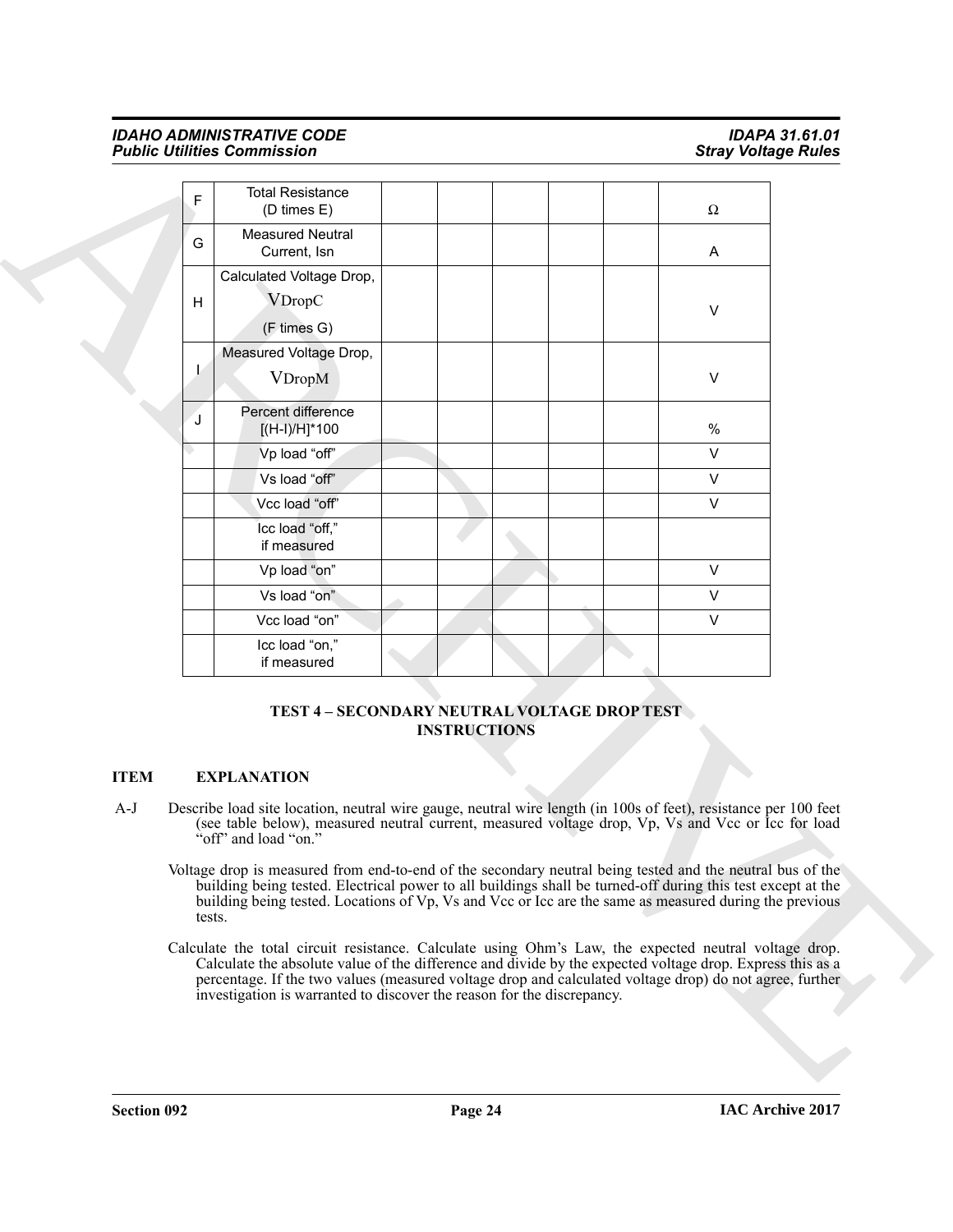#### *IDAHO ADMINISTRATIVE CODE IDAPA 31.61.01 Public Utilities Commission*

| F<br>G      | <b>Total Resistance</b><br>(D times E)                                                                                                                                                                                                                                                                                                                                                                  |                     |  |        |  |
|-------------|---------------------------------------------------------------------------------------------------------------------------------------------------------------------------------------------------------------------------------------------------------------------------------------------------------------------------------------------------------------------------------------------------------|---------------------|--|--------|--|
|             |                                                                                                                                                                                                                                                                                                                                                                                                         |                     |  | Ω      |  |
|             | <b>Measured Neutral</b><br>Current, Isn                                                                                                                                                                                                                                                                                                                                                                 |                     |  | A      |  |
| H           | Calculated Voltage Drop,<br><b>VDropC</b>                                                                                                                                                                                                                                                                                                                                                               |                     |  | V      |  |
|             | (F times G)                                                                                                                                                                                                                                                                                                                                                                                             |                     |  |        |  |
|             | Measured Voltage Drop,<br><b>VDropM</b>                                                                                                                                                                                                                                                                                                                                                                 |                     |  | $\vee$ |  |
| J           | Percent difference<br>[(H-I)/H]*100                                                                                                                                                                                                                                                                                                                                                                     |                     |  | $\%$   |  |
|             | Vp load "off"                                                                                                                                                                                                                                                                                                                                                                                           |                     |  | $\vee$ |  |
|             | Vs load "off"                                                                                                                                                                                                                                                                                                                                                                                           |                     |  | $\vee$ |  |
|             | Vcc load "off"                                                                                                                                                                                                                                                                                                                                                                                          |                     |  | $\vee$ |  |
|             | Icc load "off,"<br>if measured                                                                                                                                                                                                                                                                                                                                                                          |                     |  |        |  |
|             | Vp load "on"                                                                                                                                                                                                                                                                                                                                                                                            |                     |  | $\vee$ |  |
|             | Vs load "on"                                                                                                                                                                                                                                                                                                                                                                                            |                     |  | $\vee$ |  |
|             | Vcc load "on"                                                                                                                                                                                                                                                                                                                                                                                           |                     |  | $\vee$ |  |
|             | Icc load "on,"<br>if measured                                                                                                                                                                                                                                                                                                                                                                           |                     |  |        |  |
| <b>ITEM</b> | TEST 4 - SECONDARY NEUTRAL VOLTAGE DROP TEST<br><b>EXPLANATION</b>                                                                                                                                                                                                                                                                                                                                      | <b>INSTRUCTIONS</b> |  |        |  |
| $A-J$       | Describe load site location, neutral wire gauge, neutral wire length (in 100s of feet), resistance per 100 feet<br>(see table below), measured neutral current, measured voltage drop, Vp, Vs and Vcc or lcc for load<br>"off" and load "on."                                                                                                                                                           |                     |  |        |  |
|             | Voltage drop is measured from end-to-end of the secondary neutral being tested and the neutral bus of the<br>building being tested. Electrical power to all buildings shall be turned-off during this test except at the<br>building being tested. Locations of Vp, Vs and Vcc or Icc are the same as measured during the previous<br>tests.                                                            |                     |  |        |  |
|             | Calculate the total circuit resistance. Calculate using Ohm's Law, the expected neutral voltage drop.<br>Calculate the absolute value of the difference and divide by the expected voltage drop. Express this as a<br>percentage. If the two values (measured voltage drop and calculated voltage drop) do not agree, further<br>investigation is warranted to discover the reason for the discrepancy. |                     |  |        |  |

#### **TEST 4 – SECONDARY NEUTRAL VOLTAGE DROP TEST INSTRUCTIONS**

#### **ITEM EXPLANATION**

- A-J Describe load site location, neutral wire gauge, neutral wire length (in 100s of feet), resistance per 100 feet (see table below), measured neutral current, measured voltage drop, Vp, Vs and Vcc or Icc for load "off" and load "on."
	- Voltage drop is measured from end-to-end of the secondary neutral being tested and the neutral bus of the building being tested. Electrical power to all buildings shall be turned-off during this test except at the building being tested. Locations of Vp, Vs and Vcc or Icc are the same as measured during the previous tests.
	- Calculate the total circuit resistance. Calculate using Ohm's Law, the expected neutral voltage drop. Calculate the absolute value of the difference and divide by the expected voltage drop. Express this as a percentage. If the two values (measured voltage drop and calculated voltage drop) do not agree, further investigation is warranted to discover the reason for the discrepancy.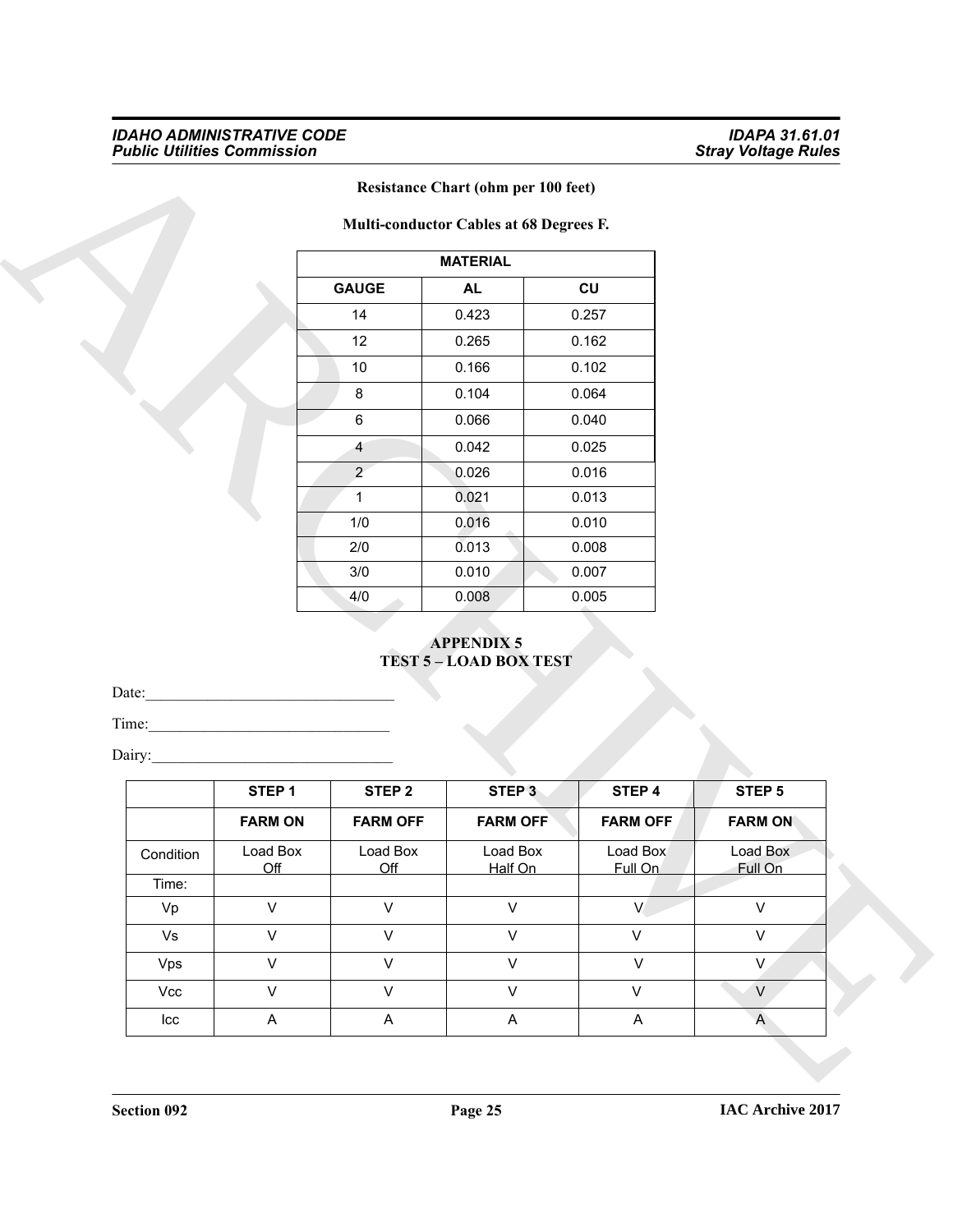#### *IDAHO ADMINISTRATIVE CODE IDAPA 31.61.01 Public Utilities Commission Stray Voltage Rules*

|                | <b>MATERIAL</b> |       |
|----------------|-----------------|-------|
| <b>GAUGE</b>   | <b>AL</b>       | CU    |
| 14             | 0.423           | 0.257 |
| 12             | 0.265           | 0.162 |
| 10             | 0.166           | 0.102 |
| 8              | 0.104           | 0.064 |
| 6              | 0.066           | 0.040 |
| 4              | 0.042           | 0.025 |
| $\overline{2}$ | 0.026           | 0.016 |
| 1              | 0.021           | 0.013 |
| 1/0            | 0.016           | 0.010 |
| 2/0            | 0.013           | 0.008 |
| 3/0            | 0.010           | 0.007 |
| 4/0            | 0.008           | 0.005 |

### **Resistance Chart (ohm per 100 feet)**

#### **APPENDIX 5 TEST 5 – LOAD BOX TEST**

|                |                   |                   | <b>Resistance Chart (ohm per 100 feet)</b><br>Multi-conductor Cables at 68 Degrees F. |                 |                |
|----------------|-------------------|-------------------|---------------------------------------------------------------------------------------|-----------------|----------------|
|                |                   |                   | <b>MATERIAL</b>                                                                       |                 |                |
|                |                   | <b>GAUGE</b>      | AL                                                                                    | CU              |                |
|                |                   | 14                | 0.423                                                                                 | 0.257           |                |
|                |                   | 12                | 0.265                                                                                 | 0.162           |                |
|                |                   | $10$              | 0.166                                                                                 | 0.102           |                |
|                |                   | $\bf 8$           | 0.104                                                                                 | 0.064           |                |
|                |                   | 6                 | 0.066                                                                                 | 0.040           |                |
|                |                   | 4                 | 0.042                                                                                 | 0.025           |                |
|                |                   | $\overline{2}$    | 0.026                                                                                 | 0.016           |                |
|                |                   | $\mathbf{1}$      | 0.021                                                                                 | 0.013           |                |
|                |                   | 1/0               | 0.016                                                                                 | 0.010           |                |
|                |                   | 2/0               | 0.013                                                                                 | 0.008           |                |
|                |                   | 3/0               | 0.010                                                                                 | 0.007           |                |
|                |                   |                   |                                                                                       |                 |                |
|                |                   | 4/0               | 0.008<br><b>APPENDIX 5</b>                                                            | 0.005           |                |
| Date:<br>Time: |                   |                   | <b>TEST 5-LOAD BOX TEST</b>                                                           |                 |                |
| Dairy:         |                   |                   |                                                                                       |                 |                |
|                | STEP <sub>1</sub> | STEP <sub>2</sub> | STEP <sub>3</sub>                                                                     | STEP 4          | STEP 5         |
|                | <b>FARM ON</b>    | <b>FARM OFF</b>   | <b>FARM OFF</b>                                                                       | <b>FARM OFF</b> | <b>FARM ON</b> |
| Condition      | Load Box          | Load Box          | Load Box                                                                              | Load Box        | Load Box       |
| Time:          | Off               | Off               | Half On                                                                               | Full On         | Full On        |
| Vp             | $\mathsf{V}$      | $\mathsf{V}$      | $\mathsf V$                                                                           | $\vee$          | $\mathsf V$    |
| Vs             | $\mathsf{V}$      | $\mathsf{V}$      | $\mathsf V$                                                                           | $\mathsf{V}$    | $\mathsf{V}$   |
| Vps            | $\mathsf{V}$      | $\mathsf{V}$      | $\mathsf V$                                                                           | $\mathsf{V}$    | V              |
| Vcc            | $\mathsf{V}$      | $\mathsf{V}$      | $\mathsf V$                                                                           | $\mathsf{V}$    | V              |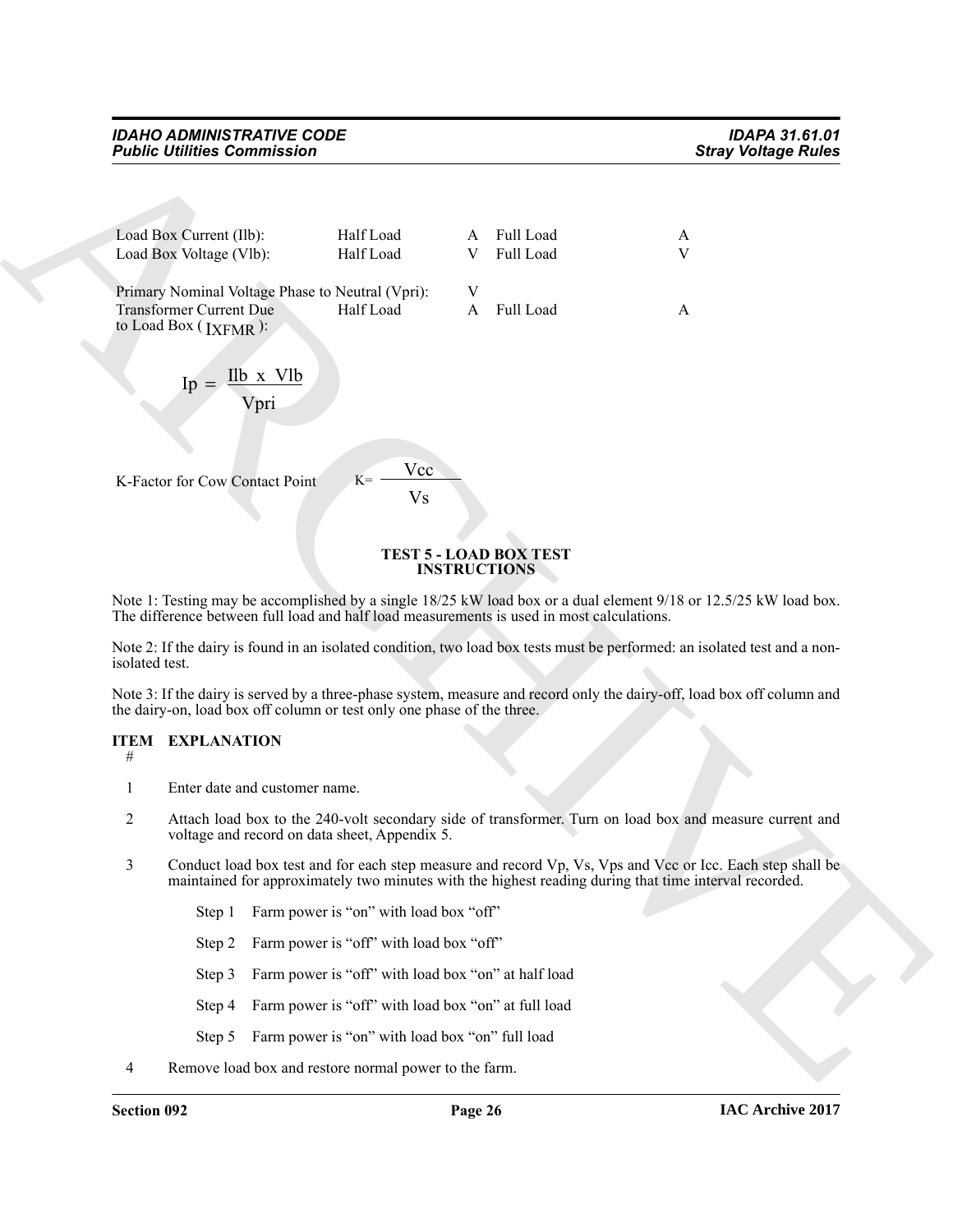#### *IDAHO ADMINISTRATIVE CODE IDAPA 31.61.01 Public Utilities Commission*

|                | <b>Public Utilities Commission</b>                                 |                                                                                           |                     |                               | <b>Stray Voltage Rules</b>                                                                                                                                                                                         |
|----------------|--------------------------------------------------------------------|-------------------------------------------------------------------------------------------|---------------------|-------------------------------|--------------------------------------------------------------------------------------------------------------------------------------------------------------------------------------------------------------------|
|                |                                                                    |                                                                                           |                     |                               |                                                                                                                                                                                                                    |
|                | Load Box Current (Ilb):                                            | Half Load                                                                                 | A                   | Full Load                     | A                                                                                                                                                                                                                  |
|                | Load Box Voltage (Vlb):                                            | Half Load                                                                                 | V                   | Full Load                     | $\mathbf{V}$                                                                                                                                                                                                       |
|                |                                                                    | Primary Nominal Voltage Phase to Neutral (Vpri):                                          | V                   |                               |                                                                                                                                                                                                                    |
|                | <b>Transformer Current Due</b><br>to Load Box (IXFMR):             | Half Load                                                                                 | A                   | Full Load                     | A                                                                                                                                                                                                                  |
|                | $\text{Ip} = \frac{\text{Ilb} \times \text{Vlb}}{\text{}}$<br>Vpri |                                                                                           |                     |                               |                                                                                                                                                                                                                    |
|                | K-Factor for Cow Contact Point                                     | Vcc<br>$K =$<br>Vs                                                                        |                     |                               |                                                                                                                                                                                                                    |
|                |                                                                    |                                                                                           | <b>INSTRUCTIONS</b> | <b>TEST 5 - LOAD BOX TEST</b> |                                                                                                                                                                                                                    |
|                |                                                                    | The difference between full load and half load measurements is used in most calculations. |                     |                               | Note 1: Testing may be accomplished by a single 18/25 kW load box or a dual element 9/18 or 12.5/25 kW load box.                                                                                                   |
| isolated test. |                                                                    |                                                                                           |                     |                               | Note 2: If the dairy is found in an isolated condition, two load box tests must be performed: an isolated test and a non-                                                                                          |
|                |                                                                    | the dairy-on, load box off column or test only one phase of the three.                    |                     |                               | Note 3: If the dairy is served by a three-phase system, measure and record only the dairy-off, load box off column and                                                                                             |
| #              | <b>ITEM EXPLANATION</b>                                            |                                                                                           |                     |                               |                                                                                                                                                                                                                    |
| 1              | Enter date and customer name.                                      |                                                                                           |                     |                               |                                                                                                                                                                                                                    |
| 2              |                                                                    | voltage and record on data sheet, Appendix 5.                                             |                     |                               | Attach load box to the 240-volt secondary side of transformer. Turn on load box and measure current and                                                                                                            |
| 3              |                                                                    |                                                                                           |                     |                               | Conduct load box test and for each step measure and record Vp, Vs, Vps and Vcc or Icc. Each step shall be<br>maintained for approximately two minutes with the highest reading during that time interval recorded. |
|                | Step 1                                                             | Farm power is "on" with load box "off"                                                    |                     |                               |                                                                                                                                                                                                                    |
|                | Step 2                                                             | Farm power is "off" with load box "off"                                                   |                     |                               |                                                                                                                                                                                                                    |
|                | Step 3                                                             | Farm power is "off" with load box "on" at half load                                       |                     |                               |                                                                                                                                                                                                                    |
|                | Step 4                                                             | Farm power is "off" with load box "on" at full load                                       |                     |                               |                                                                                                                                                                                                                    |
|                |                                                                    |                                                                                           |                     |                               |                                                                                                                                                                                                                    |
|                | Step 5                                                             | Farm power is "on" with load box "on" full load                                           |                     |                               |                                                                                                                                                                                                                    |

#### **TEST 5 - LOAD BOX TEST INSTRUCTIONS**

#### **ITEM EXPLANATION**

- 1 Enter date and customer name.
- 2 Attach load box to the 240-volt secondary side of transformer. Turn on load box and measure current and voltage and record on data sheet, Appendix 5.
- 3 Conduct load box test and for each step measure and record Vp, Vs, Vps and Vcc or Icc. Each step shall be maintained for approximately two minutes with the highest reading during that time interval recorded.
	- Step 1 Farm power is "on" with load box "off"
	- Step 2 Farm power is "off" with load box "off"
	- Step 3 Farm power is "off" with load box "on" at half load
	- Step 4 Farm power is "off" with load box "on" at full load
	- Step 5 Farm power is "on" with load box "on" full load
- 4 Remove load box and restore normal power to the farm.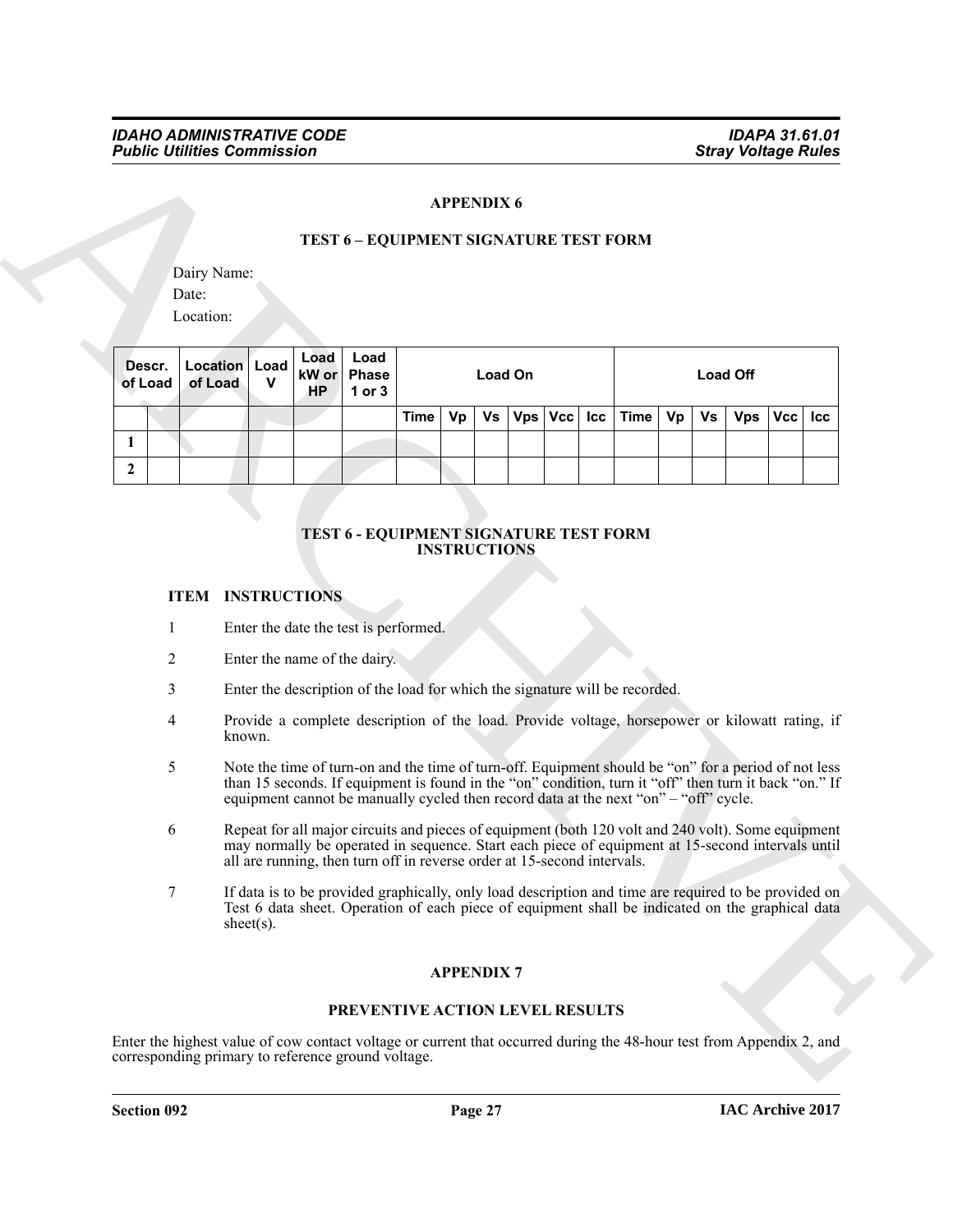#### **APPENDIX 6**

#### **TEST 6 – EQUIPMENT SIGNATURE TEST FORM**

|                     |                                      |               |  |                              |                                                                                                                                                                                                                                                                                                                                                                           | <b>APPENDIX 6</b> |  |         |     |             |    |    |            |            |                            |                                    |  |  |         |  |  |  |  |  |                 |  |  |
|---------------------|--------------------------------------|---------------|--|------------------------------|---------------------------------------------------------------------------------------------------------------------------------------------------------------------------------------------------------------------------------------------------------------------------------------------------------------------------------------------------------------------------|-------------------|--|---------|-----|-------------|----|----|------------|------------|----------------------------|------------------------------------|--|--|---------|--|--|--|--|--|-----------------|--|--|
|                     | Dairy Name:<br>Date:<br>Location:    |               |  |                              | TEST 6 - EQUIPMENT SIGNATURE TEST FORM                                                                                                                                                                                                                                                                                                                                    |                   |  |         |     |             |    |    |            |            |                            |                                    |  |  |         |  |  |  |  |  |                 |  |  |
| Descr.<br>of Load   | <b>Location</b> Load<br>of Load<br>v |               |  |                              |                                                                                                                                                                                                                                                                                                                                                                           |                   |  |         |     |             |    |    |            |            | Load<br>kW or<br><b>HP</b> | Load<br><b>Phase</b><br>$1$ or $3$ |  |  | Load On |  |  |  |  |  | <b>Load Off</b> |  |  |
|                     |                                      |               |  |                              | <b>Time</b>                                                                                                                                                                                                                                                                                                                                                               | Vs<br>Vp          |  | Vps Vcc | Icc | <b>Time</b> | Vp | Vs | <b>Vps</b> | <b>Vcc</b> | Icc                        |                                    |  |  |         |  |  |  |  |  |                 |  |  |
| 1<br>$\overline{2}$ |                                      |               |  |                              |                                                                                                                                                                                                                                                                                                                                                                           |                   |  |         |     |             |    |    |            |            |                            |                                    |  |  |         |  |  |  |  |  |                 |  |  |
| 2<br>3<br>4         | known.                               |               |  | Enter the name of the dairy. | Enter the description of the load for which the signature will be recorded.<br>Provide a complete description of the load. Provide voltage, horsepower or kilowatt rating, if                                                                                                                                                                                             |                   |  |         |     |             |    |    |            |            |                            |                                    |  |  |         |  |  |  |  |  |                 |  |  |
| 5                   |                                      |               |  |                              | Note the time of turn-on and the time of turn-off. Equipment should be "on" for a period of not less<br>than 15 seconds. If equipment is found in the "on" condition, turn it "off" then turn it back "on." If                                                                                                                                                            |                   |  |         |     |             |    |    |            |            |                            |                                    |  |  |         |  |  |  |  |  |                 |  |  |
| 6                   |                                      |               |  |                              | equipment cannot be manually cycled then record data at the next "on" - "off" cycle.<br>Repeat for all major circuits and pieces of equipment (both 120 volt and 240 volt). Some equipment<br>may normally be operated in sequence. Start each piece of equipment at 15-second intervals until<br>all are running, then turn off in reverse order at 15-second intervals. |                   |  |         |     |             |    |    |            |            |                            |                                    |  |  |         |  |  |  |  |  |                 |  |  |
| 7                   |                                      | sheet $(s)$ . |  |                              | If data is to be provided graphically, only load description and time are required to be provided on<br>Test 6 data sheet. Operation of each piece of equipment shall be indicated on the graphical data                                                                                                                                                                  |                   |  |         |     |             |    |    |            |            |                            |                                    |  |  |         |  |  |  |  |  |                 |  |  |
|                     |                                      |               |  |                              |                                                                                                                                                                                                                                                                                                                                                                           | <b>APPENDIX7</b>  |  |         |     |             |    |    |            |            |                            |                                    |  |  |         |  |  |  |  |  |                 |  |  |
|                     |                                      |               |  |                              |                                                                                                                                                                                                                                                                                                                                                                           |                   |  |         |     |             |    |    |            |            |                            |                                    |  |  |         |  |  |  |  |  |                 |  |  |

#### **TEST 6 - EQUIPMENT SIGNATURE TEST FORM INSTRUCTIONS**

#### **ITEM INSTRUCTIONS**

- 1 Enter the date the test is performed.
- 2 Enter the name of the dairy.
- 3 Enter the description of the load for which the signature will be recorded.
- 4 Provide a complete description of the load. Provide voltage, horsepower or kilowatt rating, if known.
- 5 Note the time of turn-on and the time of turn-off. Equipment should be "on" for a period of not less than 15 seconds. If equipment is found in the "on" condition, turn it "off" then turn it back "on." If equipment cannot be manually cycled then record data at the next "on" – "off" cycle.
- 6 Repeat for all major circuits and pieces of equipment (both 120 volt and 240 volt). Some equipment may normally be operated in sequence. Start each piece of equipment at 15-second intervals until all are running, then turn off in reverse order at 15-second intervals.
- 7 If data is to be provided graphically, only load description and time are required to be provided on Test 6 data sheet. Operation of each piece of equipment shall be indicated on the graphical data sheet(s).

#### **APPENDIX 7**

#### **PREVENTIVE ACTION LEVEL RESULTS**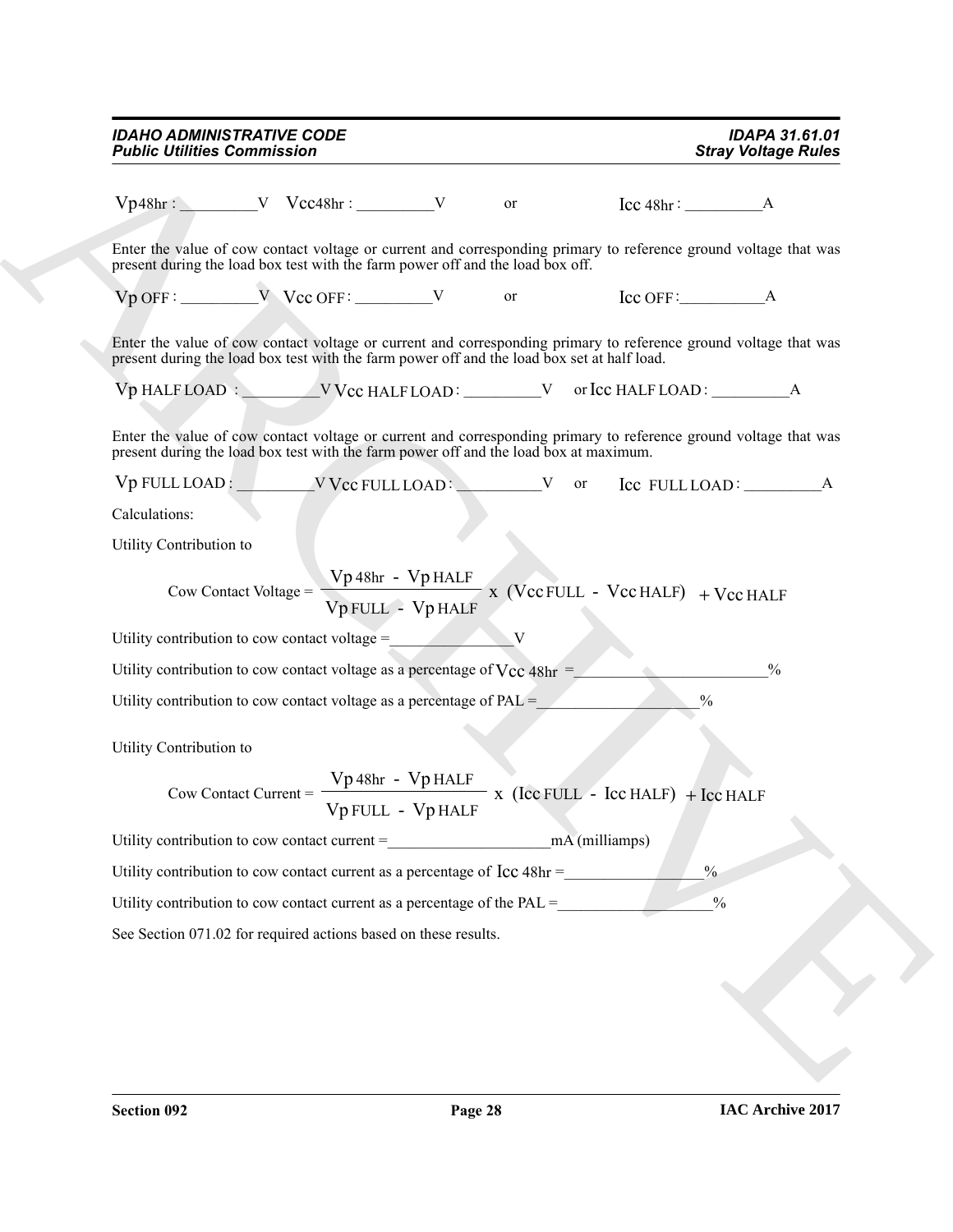| <b>Public Utilities Commission</b>                                                                                                                                                                              |                   | <b>IDAPA 31.61.01</b><br><b>Stray Voltage Rules</b>                                    |  |
|-----------------------------------------------------------------------------------------------------------------------------------------------------------------------------------------------------------------|-------------------|----------------------------------------------------------------------------------------|--|
| $Vp48hr:$ V $Vcc48hr:$ V $Vcc48hr:$ V $Vcc48hr:$ $V$ or $Cc48hr:$ $A$                                                                                                                                           |                   |                                                                                        |  |
| Enter the value of cow contact voltage or current and corresponding primary to reference ground voltage that was<br>present during the load box test with the farm power off and the load box off.              |                   |                                                                                        |  |
| $Vp$ OFF: $VQ$ OFF: $VQ$ OFF: $VQ$ OFF: $VQ$ Or                                                                                                                                                                 |                   |                                                                                        |  |
| Enter the value of cow contact voltage or current and corresponding primary to reference ground voltage that was<br>present during the load box test with the farm power off and the load box set at half load. |                   |                                                                                        |  |
| Vp HALF LOAD : VCC HALF LOAD : V or Icc HALF LOAD : \Ref ________________________                                                                                                                               |                   |                                                                                        |  |
| Enter the value of cow contact voltage or current and corresponding primary to reference ground voltage that was<br>present during the load box test with the farm power off and the load box at maximum.       |                   |                                                                                        |  |
| Vp FULL LOAD: VCC FULL LOAD: V or Icc FULL LOAD: A                                                                                                                                                              |                   |                                                                                        |  |
| Calculations:                                                                                                                                                                                                   |                   |                                                                                        |  |
| Utility Contribution to                                                                                                                                                                                         |                   |                                                                                        |  |
|                                                                                                                                                                                                                 | Vp FULL - Vp HALF | Cow Contact Voltage = $\frac{Vp 48hr - Vp HALF}{V}$ x (Vcc FULL - Vcc HALF) + Vcc HALF |  |
| Utility contribution to cow contact voltage = $\sqrt{V}$                                                                                                                                                        |                   |                                                                                        |  |
| Utility contribution to cow contact voltage as a percentage of $V_{CC}$ 48hr =                                                                                                                                  |                   | $\frac{0}{0}$                                                                          |  |
| Utility contribution to cow contact voltage as a percentage of $PAL =$                                                                                                                                          |                   | $\frac{0}{0}$                                                                          |  |
| Utility Contribution to                                                                                                                                                                                         |                   |                                                                                        |  |
| Cow Contact Current = $\frac{Vp 48hr - Vp HALF}{Vp FULL - Vp HALF}$ x (Ice FULL - Ice HALF) + Ice HALF                                                                                                          |                   |                                                                                        |  |
| Utility contribution to cow contact current = mA (milliamps)                                                                                                                                                    |                   |                                                                                        |  |
| Utility contribution to cow contact current as a percentage of Icc 48hr =                                                                                                                                       |                   | $\frac{0}{0}$                                                                          |  |
| Utility contribution to cow contact current as a percentage of the $PAL =$                                                                                                                                      |                   | $\frac{0}{0}$                                                                          |  |
| See Section 071.02 for required actions based on these results.                                                                                                                                                 |                   |                                                                                        |  |
|                                                                                                                                                                                                                 |                   |                                                                                        |  |
|                                                                                                                                                                                                                 |                   |                                                                                        |  |
|                                                                                                                                                                                                                 |                   |                                                                                        |  |